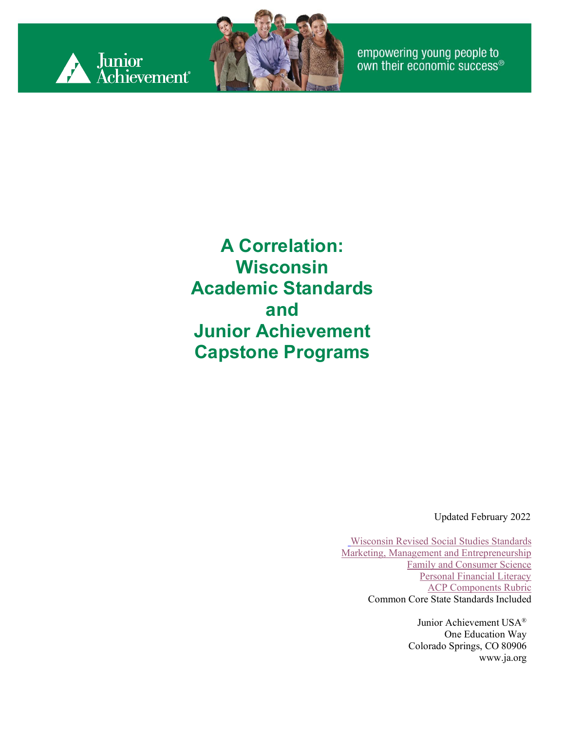



empowering young people to<br>own their economic success®

**A Correlation: Wisconsin Academic Standards and Junior Achievement Capstone Programs**

Updated February 2022

[Wisconsin Revised Social Studies Standards](https://dpi.wi.gov/social-studies/standards) [Marketing, Management and Entrepreneurship](https://dpi.wi.gov/mmee) [Family and Consumer Science](https://dpi.wi.gov/fcs/standards) [Personal Financial Literacy](https://dpi.wi.gov/finance) [ACP Components Rubric](https://view.officeapps.live.com/op/view.aspx?src=https%3A%2F%2Fdpi.wi.gov%2Fsites%2Fdefault%2Ffiles%2Fimce%2Facp%2FComponents%2520Rubric%2520OCT2016.docx&wdOrigin=BROWSELINK) Common Core State Standards Included

> Junior Achievement USA® One Education Way Colorado Springs, CO 80906 [www.ja.org](http://www.ja.org/)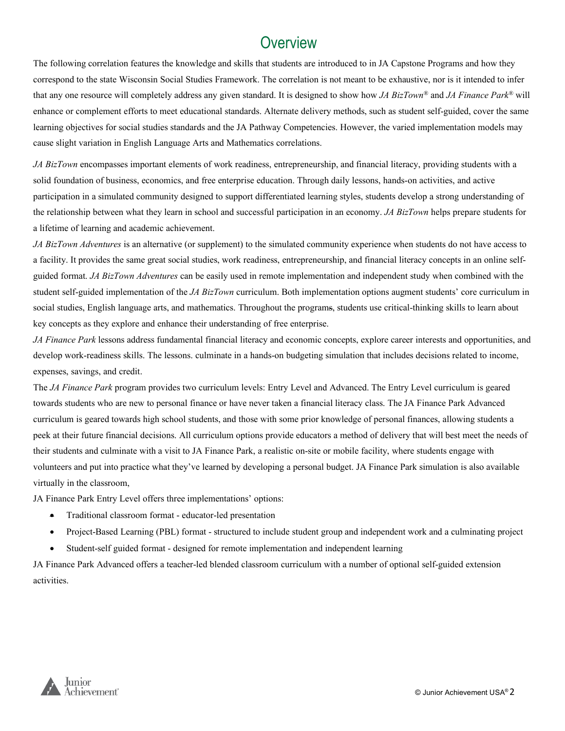#### **Overview**

The following correlation features the knowledge and skills that students are introduced to in JA Capstone Programs and how they correspond to the state Wisconsin Social Studies Framework. The correlation is not meant to be exhaustive, nor is it intended to infer that any one resource will completely address any given standard. It is designed to show how *JA BizTown®* and *JA Finance Park®* will enhance or complement efforts to meet educational standards. Alternate delivery methods, such as student self-guided, cover the same learning objectives for social studies standards and the JA Pathway Competencies. However, the varied implementation models may cause slight variation in English Language Arts and Mathematics correlations.

*JA BizTown* encompasses important elements of work readiness, entrepreneurship, and financial literacy, providing students with a solid foundation of business, economics, and free enterprise education. Through daily lessons, hands-on activities, and active participation in a simulated community designed to support differentiated learning styles, students develop a strong understanding of the relationship between what they learn in school and successful participation in an economy. *JA BizTown* helps prepare students for a lifetime of learning and academic achievement.

*JA BizTown Adventures* is an alternative (or supplement) to the simulated community experience when students do not have access to a facility. It provides the same great social studies, work readiness, entrepreneurship, and financial literacy concepts in an online selfguided format. *JA BizTown Adventures* can be easily used in remote implementation and independent study when combined with the student self-guided implementation of the *JA BizTown* curriculum. Both implementation options augment students' core curriculum in social studies, English language arts, and mathematics. Throughout the programs, students use critical-thinking skills to learn about key concepts as they explore and enhance their understanding of free enterprise.

*JA Finance Park* lessons address fundamental financial literacy and economic concepts, explore career interests and opportunities, and develop work-readiness skills. The lessons. culminate in a hands-on budgeting simulation that includes decisions related to income, expenses, savings, and credit.

The *JA Finance Park* program provides two curriculum levels: Entry Level and Advanced. The Entry Level curriculum is geared towards students who are new to personal finance or have never taken a financial literacy class. The JA Finance Park Advanced curriculum is geared towards high school students, and those with some prior knowledge of personal finances, allowing students a peek at their future financial decisions. All curriculum options provide educators a method of delivery that will best meet the needs of their students and culminate with a visit to JA Finance Park, a realistic on-site or mobile facility, where students engage with volunteers and put into practice what they've learned by developing a personal budget. JA Finance Park simulation is also available virtually in the classroom,

JA Finance Park Entry Level offers three implementations' options:

- Traditional classroom format educator-led presentation
- Project-Based Learning (PBL) format structured to include student group and independent work and a culminating project
- Student-self guided format designed for remote implementation and independent learning

JA Finance Park Advanced offers a teacher-led blended classroom curriculum with a number of optional self-guided extension activities.

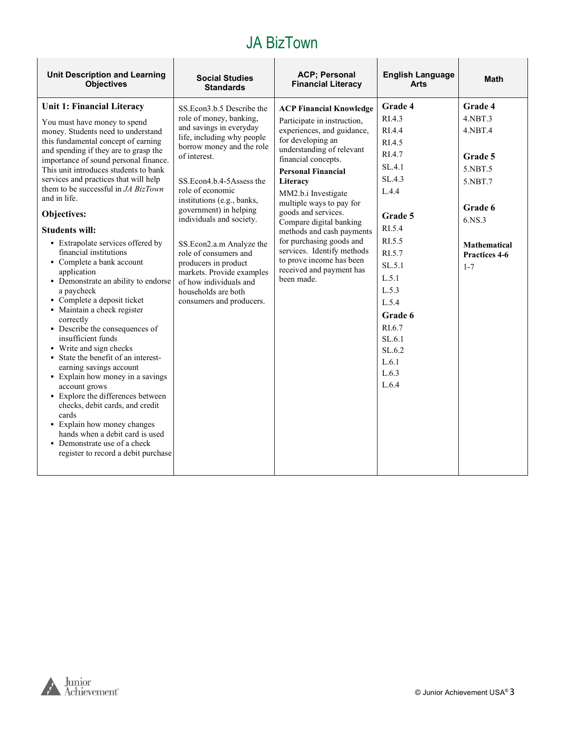| <b>Unit Description and Learning</b><br><b>Objectives</b>                                                                                                                                                                                                                                                                                                                                                                                                                                                                                                                                                                                                                                                                                                                                                                                                                                                                                                                                                                                                                                        | <b>Social Studies</b><br><b>Standards</b>                                                                                                                                                                                                                                                                                                                                                                                                                                             | <b>ACP</b> ; Personal<br><b>Financial Literacy</b>                                                                                                                                                                                                                                                                                                                                                                                                                              | <b>English Language</b><br><b>Arts</b>                                                                                                                                                                                                    | <b>Math</b>                                                                                                                                         |
|--------------------------------------------------------------------------------------------------------------------------------------------------------------------------------------------------------------------------------------------------------------------------------------------------------------------------------------------------------------------------------------------------------------------------------------------------------------------------------------------------------------------------------------------------------------------------------------------------------------------------------------------------------------------------------------------------------------------------------------------------------------------------------------------------------------------------------------------------------------------------------------------------------------------------------------------------------------------------------------------------------------------------------------------------------------------------------------------------|---------------------------------------------------------------------------------------------------------------------------------------------------------------------------------------------------------------------------------------------------------------------------------------------------------------------------------------------------------------------------------------------------------------------------------------------------------------------------------------|---------------------------------------------------------------------------------------------------------------------------------------------------------------------------------------------------------------------------------------------------------------------------------------------------------------------------------------------------------------------------------------------------------------------------------------------------------------------------------|-------------------------------------------------------------------------------------------------------------------------------------------------------------------------------------------------------------------------------------------|-----------------------------------------------------------------------------------------------------------------------------------------------------|
| Unit 1: Financial Literacy<br>You must have money to spend<br>money. Students need to understand<br>this fundamental concept of earning<br>and spending if they are to grasp the<br>importance of sound personal finance.<br>This unit introduces students to bank<br>services and practices that will help<br>them to be successful in <i>JA BizTown</i><br>and in life.<br>Objectives:<br><b>Students will:</b><br>• Extrapolate services offered by<br>financial institutions<br>• Complete a bank account<br>application<br>• Demonstrate an ability to endorse<br>a paycheck<br>• Complete a deposit ticket<br>• Maintain a check register<br>correctly<br>• Describe the consequences of<br>insufficient funds<br>• Write and sign checks<br>• State the benefit of an interest-<br>earning savings account<br>• Explain how money in a savings<br>account grows<br>• Explore the differences between<br>checks, debit cards, and credit<br>cards<br>• Explain how money changes<br>hands when a debit card is used<br>• Demonstrate use of a check<br>register to record a debit purchase | SS.Econ3.b.5 Describe the<br>role of money, banking,<br>and savings in everyday<br>life, including why people<br>borrow money and the role<br>of interest.<br>SS.Econ4.b.4-5Assess the<br>role of economic<br>institutions (e.g., banks,<br>government) in helping<br>individuals and society.<br>SS.Econ2.a.m Analyze the<br>role of consumers and<br>producers in product<br>markets. Provide examples<br>of how individuals and<br>households are both<br>consumers and producers. | <b>ACP Financial Knowledge</b><br>Participate in instruction,<br>experiences, and guidance,<br>for developing an<br>understanding of relevant<br>financial concepts.<br><b>Personal Financial</b><br>Literacy<br>MM2.b.i Investigate<br>multiple ways to pay for<br>goods and services.<br>Compare digital banking<br>methods and cash payments<br>for purchasing goods and<br>services. Identify methods<br>to prove income has been<br>received and payment has<br>been made. | Grade 4<br>RI.4.3<br>RI.4.4<br>R <sub>L</sub> 4.5<br>RI.4.7<br>SL.4.1<br>SL.4.3<br>L.4.4<br>Grade 5<br>RI.5.4<br>RI.5.5<br>RI.5.7<br>SL.5.1<br>L.5.1<br>L.5.3<br>L.5.4<br>Grade 6<br>RL6.7<br>SL.6.1<br>SL.6.2<br>L.6.1<br>L.6.3<br>L.6.4 | Grade 4<br>$4.$ NBT $.3$<br>4.NBT.4<br>Grade 5<br>5.NBT.5<br>5.NBT.7<br>Grade 6<br>6.NS.3<br><b>Mathematical</b><br><b>Practices 4-6</b><br>$1 - 7$ |
|                                                                                                                                                                                                                                                                                                                                                                                                                                                                                                                                                                                                                                                                                                                                                                                                                                                                                                                                                                                                                                                                                                  |                                                                                                                                                                                                                                                                                                                                                                                                                                                                                       |                                                                                                                                                                                                                                                                                                                                                                                                                                                                                 |                                                                                                                                                                                                                                           |                                                                                                                                                     |

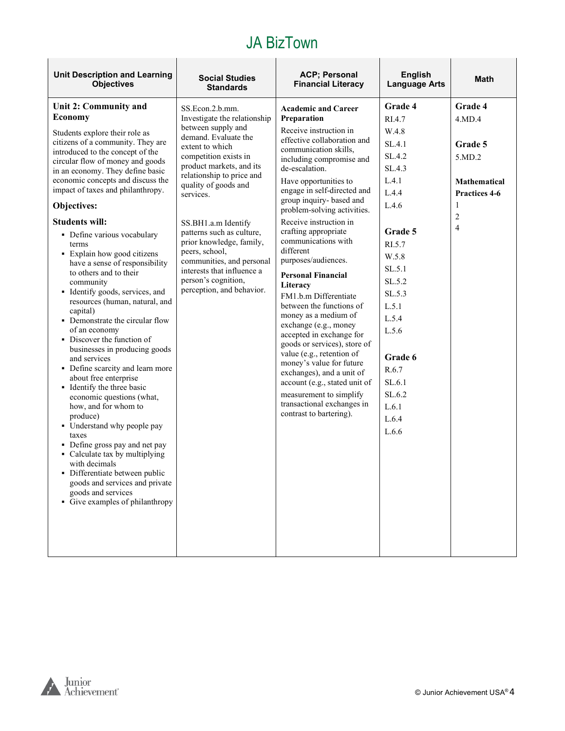| <b>Unit Description and Learning</b><br><b>Objectives</b>                                                                                                                                                                                                                                                                                                                                                                                                                                                                                                                                                                                                                                                                                                                                                                                                                                                                                                                                                                                                                                                                              | <b>Social Studies</b><br><b>Standards</b>                                                                                                                                                                                                                                                                                                                                                                                                                | <b>ACP; Personal</b><br><b>Financial Literacy</b>                                                                                                                                                                                                                                                                                                                                                                                                                                                                                                                                                                                                                                                                                                                                                                               | <b>English</b><br><b>Language Arts</b>                                                                                                                                                                                                        | <b>Math</b>                                                                                                                    |
|----------------------------------------------------------------------------------------------------------------------------------------------------------------------------------------------------------------------------------------------------------------------------------------------------------------------------------------------------------------------------------------------------------------------------------------------------------------------------------------------------------------------------------------------------------------------------------------------------------------------------------------------------------------------------------------------------------------------------------------------------------------------------------------------------------------------------------------------------------------------------------------------------------------------------------------------------------------------------------------------------------------------------------------------------------------------------------------------------------------------------------------|----------------------------------------------------------------------------------------------------------------------------------------------------------------------------------------------------------------------------------------------------------------------------------------------------------------------------------------------------------------------------------------------------------------------------------------------------------|---------------------------------------------------------------------------------------------------------------------------------------------------------------------------------------------------------------------------------------------------------------------------------------------------------------------------------------------------------------------------------------------------------------------------------------------------------------------------------------------------------------------------------------------------------------------------------------------------------------------------------------------------------------------------------------------------------------------------------------------------------------------------------------------------------------------------------|-----------------------------------------------------------------------------------------------------------------------------------------------------------------------------------------------------------------------------------------------|--------------------------------------------------------------------------------------------------------------------------------|
| Unit 2: Community and<br><b>Economy</b><br>Students explore their role as<br>citizens of a community. They are<br>introduced to the concept of the<br>circular flow of money and goods<br>in an economy. They define basic<br>economic concepts and discuss the<br>impact of taxes and philanthropy.<br>Objectives:<br><b>Students will:</b><br>• Define various vocabulary<br>terms<br>• Explain how good citizens<br>have a sense of responsibility<br>to others and to their<br>community<br>• Identify goods, services, and<br>resources (human, natural, and<br>capital)<br>• Demonstrate the circular flow<br>of an economy<br>• Discover the function of<br>businesses in producing goods<br>and services<br>• Define scarcity and learn more<br>about free enterprise<br>• Identify the three basic<br>economic questions (what,<br>how, and for whom to<br>produce)<br>• Understand why people pay<br>taxes<br>• Define gross pay and net pay<br>• Calculate tax by multiplying<br>with decimals<br>• Differentiate between public<br>goods and services and private<br>goods and services<br>• Give examples of philanthropy | SS.Econ.2.b.mm.<br>Investigate the relationship<br>between supply and<br>demand. Evaluate the<br>extent to which<br>competition exists in<br>product markets, and its<br>relationship to price and<br>quality of goods and<br>services.<br>SS.BH1.a.m Identify<br>patterns such as culture,<br>prior knowledge, family,<br>peers, school,<br>communities, and personal<br>interests that influence a<br>person's cognition,<br>perception, and behavior. | <b>Academic and Career</b><br>Preparation<br>Receive instruction in<br>effective collaboration and<br>communication skills,<br>including compromise and<br>de-escalation.<br>Have opportunities to<br>engage in self-directed and<br>group inquiry- based and<br>problem-solving activities.<br>Receive instruction in<br>crafting appropriate<br>communications with<br>different<br>purposes/audiences.<br><b>Personal Financial</b><br>Literacy<br>FM1.b.m Differentiate<br>between the functions of<br>money as a medium of<br>exchange (e.g., money<br>accepted in exchange for<br>goods or services), store of<br>value (e.g., retention of<br>money's value for future<br>exchanges), and a unit of<br>account (e.g., stated unit of<br>measurement to simplify<br>transactional exchanges in<br>contrast to bartering). | Grade 4<br>RI.4.7<br>W.4.8<br>SL.4.1<br>SL.4.2<br>SL.4.3<br>L.4.1<br>L.4.4<br>L.4.6<br>Grade 5<br>RI.5.7<br>W.5.8<br>SL.5.1<br>SL.5.2<br>SL.5.3<br>L.5.1<br>L.5.4<br>L.5.6<br>Grade 6<br>R.6.7<br>SL.6.1<br>SL.6.2<br>L.6.1<br>L.6.4<br>L.6.6 | Grade 4<br>4.MD.4<br>Grade 5<br>5.MD.2<br><b>Mathematical</b><br><b>Practices 4-6</b><br>1<br>$\overline{c}$<br>$\overline{4}$ |
|                                                                                                                                                                                                                                                                                                                                                                                                                                                                                                                                                                                                                                                                                                                                                                                                                                                                                                                                                                                                                                                                                                                                        |                                                                                                                                                                                                                                                                                                                                                                                                                                                          |                                                                                                                                                                                                                                                                                                                                                                                                                                                                                                                                                                                                                                                                                                                                                                                                                                 |                                                                                                                                                                                                                                               |                                                                                                                                |

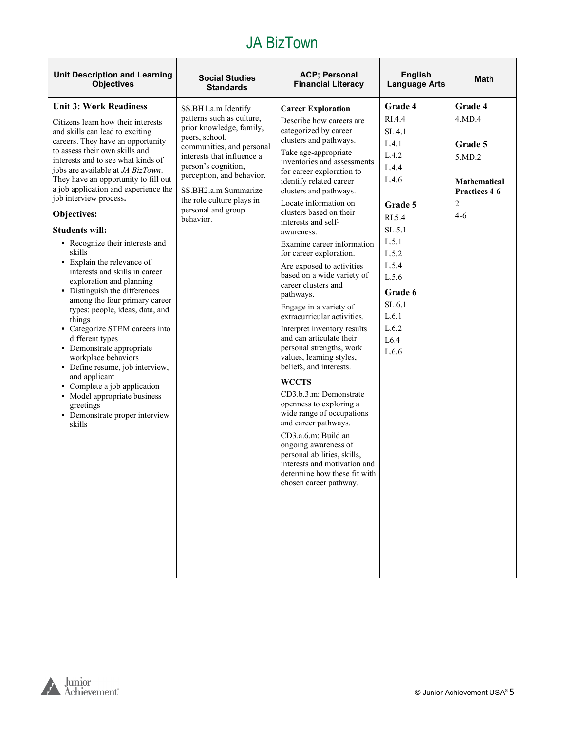| <b>Unit Description and Learning</b><br><b>Objectives</b>                                                                                                                                                                                                                                                                                                                                                                                                                                                                                                                                                                                                                                                                                                                                                                                                                                                               | <b>Social Studies</b><br><b>Standards</b>                                                                                                                                                                                                                                      | <b>ACP</b> ; Personal<br><b>Financial Literacy</b>                                                                                                                                                                                                                                                                                                                                                                                                                                                                                                                                                                                                                                                                                                                                                                                                                                                                                                                             | <b>English</b><br><b>Language Arts</b>                                                                                                                                          | <b>Math</b>                                                                                      |
|-------------------------------------------------------------------------------------------------------------------------------------------------------------------------------------------------------------------------------------------------------------------------------------------------------------------------------------------------------------------------------------------------------------------------------------------------------------------------------------------------------------------------------------------------------------------------------------------------------------------------------------------------------------------------------------------------------------------------------------------------------------------------------------------------------------------------------------------------------------------------------------------------------------------------|--------------------------------------------------------------------------------------------------------------------------------------------------------------------------------------------------------------------------------------------------------------------------------|--------------------------------------------------------------------------------------------------------------------------------------------------------------------------------------------------------------------------------------------------------------------------------------------------------------------------------------------------------------------------------------------------------------------------------------------------------------------------------------------------------------------------------------------------------------------------------------------------------------------------------------------------------------------------------------------------------------------------------------------------------------------------------------------------------------------------------------------------------------------------------------------------------------------------------------------------------------------------------|---------------------------------------------------------------------------------------------------------------------------------------------------------------------------------|--------------------------------------------------------------------------------------------------|
| <b>Unit 3: Work Readiness</b>                                                                                                                                                                                                                                                                                                                                                                                                                                                                                                                                                                                                                                                                                                                                                                                                                                                                                           | SS.BH1.a.m Identify                                                                                                                                                                                                                                                            | <b>Career Exploration</b>                                                                                                                                                                                                                                                                                                                                                                                                                                                                                                                                                                                                                                                                                                                                                                                                                                                                                                                                                      | Grade 4                                                                                                                                                                         | Grade 4                                                                                          |
| Citizens learn how their interests<br>and skills can lead to exciting<br>careers. They have an opportunity<br>to assess their own skills and<br>interests and to see what kinds of<br>jobs are available at JA BizTown.<br>They have an opportunity to fill out<br>a job application and experience the<br>job interview process.<br>Objectives:<br><b>Students will:</b><br>• Recognize their interests and<br>skills<br>• Explain the relevance of<br>interests and skills in career<br>exploration and planning<br>• Distinguish the differences<br>among the four primary career<br>types: people, ideas, data, and<br>things<br>• Categorize STEM careers into<br>different types<br>• Demonstrate appropriate<br>workplace behaviors<br>• Define resume, job interview,<br>and applicant<br>• Complete a job application<br>• Model appropriate business<br>greetings<br>• Demonstrate proper interview<br>skills | patterns such as culture,<br>prior knowledge, family,<br>peers, school,<br>communities, and personal<br>interests that influence a<br>person's cognition,<br>perception, and behavior.<br>SS.BH2.a.m Summarize<br>the role culture plays in<br>personal and group<br>behavior. | Describe how careers are<br>categorized by career<br>clusters and pathways.<br>Take age-appropriate<br>inventories and assessments<br>for career exploration to<br>identify related career<br>clusters and pathways.<br>Locate information on<br>clusters based on their<br>interests and self-<br>awareness.<br>Examine career information<br>for career exploration.<br>Are exposed to activities<br>based on a wide variety of<br>career clusters and<br>pathways.<br>Engage in a variety of<br>extracurricular activities.<br>Interpret inventory results<br>and can articulate their<br>personal strengths, work<br>values, learning styles,<br>beliefs, and interests.<br><b>WCCTS</b><br>CD3.b.3.m: Demonstrate<br>openness to exploring a<br>wide range of occupations<br>and career pathways.<br>CD3.a.6.m: Build an<br>ongoing awareness of<br>personal abilities, skills,<br>interests and motivation and<br>determine how these fit with<br>chosen career pathway. | RI.4.4<br>SL.4.1<br>L.4.1<br>L.4.2<br>L.4.4<br>L.4.6<br>Grade 5<br>RI.5.4<br>SL.5.1<br>L.5.1<br>L.5.2<br>L.5.4<br>L.5.6<br>Grade 6<br>SL.6.1<br>L.6.1<br>L.6.2<br>L6.4<br>L.6.6 | 4.MD.4<br>Grade 5<br>5.MD.2<br>Mathematical<br><b>Practices 4-6</b><br>$\overline{2}$<br>$4 - 6$ |
|                                                                                                                                                                                                                                                                                                                                                                                                                                                                                                                                                                                                                                                                                                                                                                                                                                                                                                                         |                                                                                                                                                                                                                                                                                |                                                                                                                                                                                                                                                                                                                                                                                                                                                                                                                                                                                                                                                                                                                                                                                                                                                                                                                                                                                |                                                                                                                                                                                 |                                                                                                  |



 $\mathsf{r}$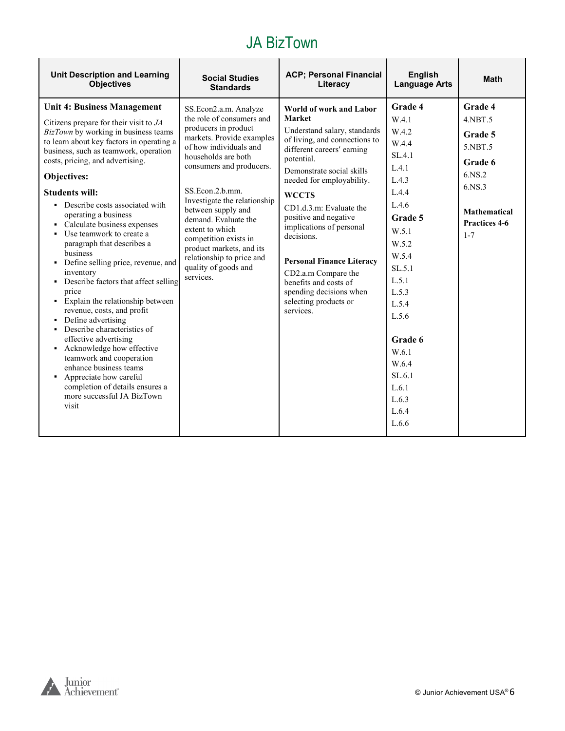| <b>Unit Description and Learning</b>                                                                                                                                                                                                                                                                                                                                                                                                                                                                                                                                                                                                                                                                                                                                                                                                                                                                            | <b>Social Studies</b>                                                                                                                                                                                                                                                                                                                                                                                                           | <b>ACP; Personal Financial</b>                                                                                                                                                                                                                                                                                                                                                                                                                                              | <b>English</b>                                                                                                                                                                                                                                  | <b>Math</b>                                                                                                                       |
|-----------------------------------------------------------------------------------------------------------------------------------------------------------------------------------------------------------------------------------------------------------------------------------------------------------------------------------------------------------------------------------------------------------------------------------------------------------------------------------------------------------------------------------------------------------------------------------------------------------------------------------------------------------------------------------------------------------------------------------------------------------------------------------------------------------------------------------------------------------------------------------------------------------------|---------------------------------------------------------------------------------------------------------------------------------------------------------------------------------------------------------------------------------------------------------------------------------------------------------------------------------------------------------------------------------------------------------------------------------|-----------------------------------------------------------------------------------------------------------------------------------------------------------------------------------------------------------------------------------------------------------------------------------------------------------------------------------------------------------------------------------------------------------------------------------------------------------------------------|-------------------------------------------------------------------------------------------------------------------------------------------------------------------------------------------------------------------------------------------------|-----------------------------------------------------------------------------------------------------------------------------------|
| <b>Objectives</b>                                                                                                                                                                                                                                                                                                                                                                                                                                                                                                                                                                                                                                                                                                                                                                                                                                                                                               | <b>Standards</b>                                                                                                                                                                                                                                                                                                                                                                                                                | Literacy                                                                                                                                                                                                                                                                                                                                                                                                                                                                    | <b>Language Arts</b>                                                                                                                                                                                                                            |                                                                                                                                   |
| Unit 4: Business Management<br>Citizens prepare for their visit to $JA$<br>BizTown by working in business teams<br>to learn about key factors in operating a<br>business, such as teamwork, operation<br>costs, pricing, and advertising.<br>Objectives:<br><b>Students will:</b><br>• Describe costs associated with<br>operating a business<br>• Calculate business expenses<br>• Use teamwork to create a<br>paragraph that describes a<br>business<br>• Define selling price, revenue, and<br>inventory<br>• Describe factors that affect selling<br>price<br>• Explain the relationship between<br>revenue, costs, and profit<br>• Define advertising<br>• Describe characteristics of<br>effective advertising<br>• Acknowledge how effective<br>teamwork and cooperation<br>enhance business teams<br>• Appreciate how careful<br>completion of details ensures a<br>more successful JA BizTown<br>visit | SS.Econ2.a.m. Analyze<br>the role of consumers and<br>producers in product<br>markets. Provide examples<br>of how individuals and<br>households are both<br>consumers and producers.<br>SS.Econ.2.b.mm.<br>Investigate the relationship<br>between supply and<br>demand. Evaluate the<br>extent to which<br>competition exists in<br>product markets, and its<br>relationship to price and<br>quality of goods and<br>services. | World of work and Labor<br>Market<br>Understand salary, standards<br>of living, and connections to<br>different careers' earning<br>potential.<br>Demonstrate social skills<br>needed for employability.<br><b>WCCTS</b><br>CD1.d.3.m: Evaluate the<br>positive and negative<br>implications of personal<br>decisions.<br><b>Personal Finance Literacy</b><br>CD2.a.m Compare the<br>benefits and costs of<br>spending decisions when<br>selecting products or<br>services. | Grade 4<br>W.4.1<br>W.4.2<br>W.4.4<br>SL.4.1<br>L.4.1<br>L.4.3<br>L.4.4<br>L.4.6<br>Grade 5<br>W.5.1<br>W.5.2<br>W.5.4<br>SL.5.1<br>L.5.1<br>L.5.3<br>L.5.4<br>L.5.6<br>Grade 6<br>W.6.1<br>W.6.4<br>SL.6.1<br>L.6.1<br>L.6.3<br>L.6.4<br>L.6.6 | Grade 4<br>4.NBT.5<br>Grade 5<br>5.NBT.5<br>Grade 6<br>6.NS.2<br>6.NS.3<br><b>Mathematical</b><br><b>Practices 4-6</b><br>$1 - 7$ |

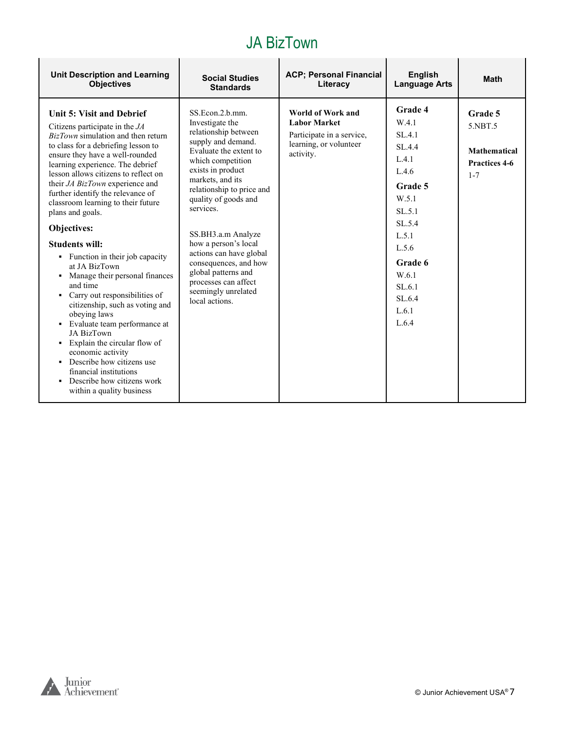| <b>Unit Description and Learning</b>                                                                                                                                                                                                                                                                                                                                                                                                                                                                                                                                                                                                                                                                                                                                                                                                                              | <b>Social Studies</b>                                                                                                                                                                                                                                                                                                                                                                                                                | <b>ACP; Personal Financial</b>                                                                               | <b>English</b>                                                                                                                                                             | <b>Math</b>                                                           |
|-------------------------------------------------------------------------------------------------------------------------------------------------------------------------------------------------------------------------------------------------------------------------------------------------------------------------------------------------------------------------------------------------------------------------------------------------------------------------------------------------------------------------------------------------------------------------------------------------------------------------------------------------------------------------------------------------------------------------------------------------------------------------------------------------------------------------------------------------------------------|--------------------------------------------------------------------------------------------------------------------------------------------------------------------------------------------------------------------------------------------------------------------------------------------------------------------------------------------------------------------------------------------------------------------------------------|--------------------------------------------------------------------------------------------------------------|----------------------------------------------------------------------------------------------------------------------------------------------------------------------------|-----------------------------------------------------------------------|
| <b>Objectives</b>                                                                                                                                                                                                                                                                                                                                                                                                                                                                                                                                                                                                                                                                                                                                                                                                                                                 | <b>Standards</b>                                                                                                                                                                                                                                                                                                                                                                                                                     | Literacy                                                                                                     | <b>Language Arts</b>                                                                                                                                                       |                                                                       |
| Unit 5: Visit and Debrief<br>Citizens participate in the $JA$<br><i>BizTown</i> simulation and then return<br>to class for a debriefing lesson to<br>ensure they have a well-rounded<br>learning experience. The debrief<br>lesson allows citizens to reflect on<br>their JA BizTown experience and<br>further identify the relevance of<br>classroom learning to their future<br>plans and goals.<br>Objectives:<br><b>Students will:</b><br>• Function in their job capacity<br>at JA BizTown<br>Manage their personal finances<br>٠<br>and time<br>• Carry out responsibilities of<br>citizenship, such as voting and<br>obeying laws<br>• Evaluate team performance at<br>JA BizTown<br>• Explain the circular flow of<br>economic activity<br>Describe how citizens use<br>financial institutions<br>Describe how citizens work<br>within a quality business | SS.Econ.2.b.mm.<br>Investigate the<br>relationship between<br>supply and demand.<br>Evaluate the extent to<br>which competition<br>exists in product<br>markets, and its<br>relationship to price and<br>quality of goods and<br>services.<br>SS.BH3.a.m Analyze<br>how a person's local<br>actions can have global<br>consequences, and how<br>global patterns and<br>processes can affect<br>seemingly unrelated<br>local actions. | World of Work and<br><b>Labor Market</b><br>Participate in a service,<br>learning, or volunteer<br>activity. | Grade 4<br>W.4.1<br>SL.4.1<br>SL.4.4<br>L.4.1<br>L.4.6<br>Grade 5<br>W.5.1<br>SL.5.1<br>SL.5.4<br>L.5.1<br>L.5.6<br>Grade 6<br>W.6.1<br>SL.6.1<br>SL.6.4<br>L.6.1<br>L.6.4 | Grade 5<br>5.NBT.5<br><b>Mathematical</b><br>Practices 4-6<br>$1 - 7$ |

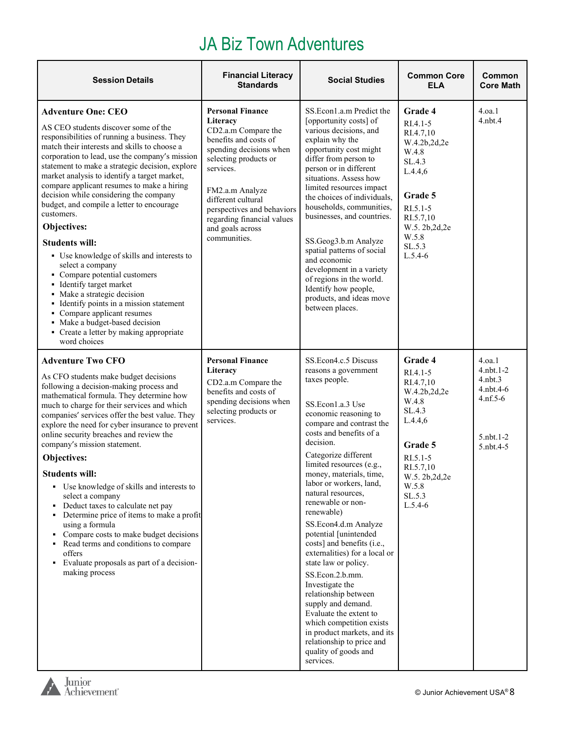#### JA Biz Town Adventures

| <b>Session Details</b>                                                                                                                                                                                                                                                                                                                                                                                                                                                                                                                                                                                                                                                                                                                                                                                                                                  | <b>Financial Literacy</b><br><b>Standards</b>                                                                                                                                                                                                                                                 | <b>Social Studies</b>                                                                                                                                                                                                                                                                                                                                                                                                                                                                                                                                                                                                                                                                                                                | <b>Common Core</b><br><b>ELA</b>                                                                                                                                          | Common<br><b>Core Math</b>                                                                      |
|---------------------------------------------------------------------------------------------------------------------------------------------------------------------------------------------------------------------------------------------------------------------------------------------------------------------------------------------------------------------------------------------------------------------------------------------------------------------------------------------------------------------------------------------------------------------------------------------------------------------------------------------------------------------------------------------------------------------------------------------------------------------------------------------------------------------------------------------------------|-----------------------------------------------------------------------------------------------------------------------------------------------------------------------------------------------------------------------------------------------------------------------------------------------|--------------------------------------------------------------------------------------------------------------------------------------------------------------------------------------------------------------------------------------------------------------------------------------------------------------------------------------------------------------------------------------------------------------------------------------------------------------------------------------------------------------------------------------------------------------------------------------------------------------------------------------------------------------------------------------------------------------------------------------|---------------------------------------------------------------------------------------------------------------------------------------------------------------------------|-------------------------------------------------------------------------------------------------|
| <b>Adventure One: CEO</b><br>AS CEO students discover some of the<br>responsibilities of running a business. They<br>match their interests and skills to choose a<br>corporation to lead, use the company's mission<br>statement to make a strategic decision, explore<br>market analysis to identify a target market,<br>compare applicant resumes to make a hiring<br>decision while considering the company<br>budget, and compile a letter to encourage<br>customers.<br>Objectives:<br><b>Students will:</b><br>• Use knowledge of skills and interests to<br>select a company<br>• Compare potential customers<br>· Identify target market<br>• Make a strategic decision<br>• Identify points in a mission statement<br>• Compare applicant resumes<br>• Make a budget-based decision<br>• Create a letter by making appropriate<br>word choices | <b>Personal Finance</b><br>Literacy<br>CD2.a.m Compare the<br>benefits and costs of<br>spending decisions when<br>selecting products or<br>services.<br>FM2.a.m Analyze<br>different cultural<br>perspectives and behaviors<br>regarding financial values<br>and goals across<br>communities. | SS.Econ1.a.m Predict the<br>[opportunity costs] of<br>various decisions, and<br>explain why the<br>opportunity cost might<br>differ from person to<br>person or in different<br>situations. Assess how<br>limited resources impact<br>the choices of individuals,<br>households, communities,<br>businesses, and countries.<br>SS.Geog3.b.m Analyze<br>spatial patterns of social<br>and economic<br>development in a variety<br>of regions in the world.<br>Identify how people,<br>products, and ideas move<br>between places.                                                                                                                                                                                                     | Grade 4<br>RI.4.1-5<br>RI.4.7,10<br>W.4.2b,2d,2e<br>W.4.8<br>SL.4.3<br>L.4.4,6<br>Grade 5<br>RI.5.1-5<br>RI.5.7,10<br>W.5.2b,2d,2e<br>W.5.8<br>SL.5.3<br>$L.5.4-6$        | 4.0a.1<br>$4.$ nbt. $4$                                                                         |
| <b>Adventure Two CFO</b><br>As CFO students make budget decisions<br>following a decision-making process and<br>mathematical formula. They determine how<br>much to charge for their services and which<br>companies' services offer the best value. They<br>explore the need for cyber insurance to prevent<br>online security breaches and review the<br>company's mission statement.<br>Objectives:<br><b>Students will:</b><br>• Use knowledge of skills and interests to<br>select a company<br>• Deduct taxes to calculate net pay<br>Determine price of items to make a profit<br>using a formula<br>• Compare costs to make budget decisions<br>• Read terms and conditions to compare<br>offers<br>• Evaluate proposals as part of a decision-<br>making process                                                                               | <b>Personal Finance</b><br>Literacy<br>CD2.a.m Compare the<br>benefits and costs of<br>spending decisions when<br>selecting products or<br>services.                                                                                                                                          | SS.Econ4.c.5 Discuss<br>reasons a government<br>taxes people.<br>SS.Econ1.a.3 Use<br>economic reasoning to<br>compare and contrast the<br>costs and benefits of a<br>decision.<br>Categorize different<br>limited resources (e.g.,<br>money, materials, time,<br>labor or workers, land,<br>natural resources,<br>renewable or non-<br>renewable)<br>SS.Econ4.d.m Analyze<br>potential [unintended<br>costs] and benefits (i.e.,<br>externalities) for a local or<br>state law or policy.<br>SS.Econ.2.b.mm.<br>Investigate the<br>relationship between<br>supply and demand.<br>Evaluate the extent to<br>which competition exists<br>in product markets, and its<br>relationship to price and<br>quality of goods and<br>services. | Grade 4<br>$RI.4.1 - 5$<br>RI.4.7,10<br>W.4.2b,2d,2e<br>W.4.8<br>SL.4.3<br>L.4.4,6<br>Grade 5<br>RI.5.1-5<br>RI.5.7,10<br>W.5. 2b, 2d, 2e<br>W.5.8<br>SL.5.3<br>$L.5.4-6$ | 4.0a.1<br>$4.$ nbt. $1-2$<br>$4.$ nbt. $3$<br>4.nbt.4-6<br>$4.nf.5-6$<br>5.nbt.1-2<br>5.nbt.4-5 |

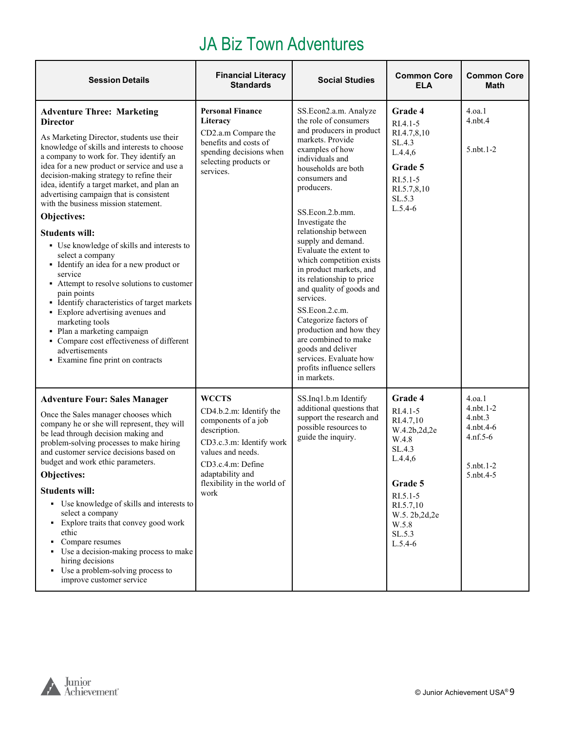#### JA Biz Town Adventures

| <b>Session Details</b>                                                                                                                                                                                                                                                                                                                                                                                                                                                                                                                                                                                                                                                                                                                                                                                                                                                                           | <b>Financial Literacy</b><br><b>Standards</b>                                                                                                                                                                   | <b>Social Studies</b>                                                                                                                                                                                                                                                                                                                                                                                                                                                                                                                                                                                                          | <b>Common Core</b><br><b>ELA</b>                                                                                                                                     | <b>Common Core</b><br><b>Math</b>                                                               |
|--------------------------------------------------------------------------------------------------------------------------------------------------------------------------------------------------------------------------------------------------------------------------------------------------------------------------------------------------------------------------------------------------------------------------------------------------------------------------------------------------------------------------------------------------------------------------------------------------------------------------------------------------------------------------------------------------------------------------------------------------------------------------------------------------------------------------------------------------------------------------------------------------|-----------------------------------------------------------------------------------------------------------------------------------------------------------------------------------------------------------------|--------------------------------------------------------------------------------------------------------------------------------------------------------------------------------------------------------------------------------------------------------------------------------------------------------------------------------------------------------------------------------------------------------------------------------------------------------------------------------------------------------------------------------------------------------------------------------------------------------------------------------|----------------------------------------------------------------------------------------------------------------------------------------------------------------------|-------------------------------------------------------------------------------------------------|
| <b>Adventure Three: Marketing</b><br><b>Director</b><br>As Marketing Director, students use their<br>knowledge of skills and interests to choose<br>a company to work for. They identify an<br>idea for a new product or service and use a<br>decision-making strategy to refine their<br>idea, identify a target market, and plan an<br>advertising campaign that is consistent<br>with the business mission statement.<br>Objectives:<br><b>Students will:</b><br>• Use knowledge of skills and interests to<br>select a company<br>• Identify an idea for a new product or<br>service<br>• Attempt to resolve solutions to customer<br>pain points<br>• Identify characteristics of target markets<br>• Explore advertising avenues and<br>marketing tools<br>• Plan a marketing campaign<br>• Compare cost effectiveness of different<br>advertisements<br>• Examine fine print on contracts | <b>Personal Finance</b><br>Literacy<br>CD2.a.m Compare the<br>benefits and costs of<br>spending decisions when<br>selecting products or<br>services.                                                            | SS.Econ2.a.m. Analyze<br>the role of consumers<br>and producers in product<br>markets. Provide<br>examples of how<br>individuals and<br>households are both<br>consumers and<br>producers.<br>SS.Econ.2.b.mm.<br>Investigate the<br>relationship between<br>supply and demand.<br>Evaluate the extent to<br>which competition exists<br>in product markets, and<br>its relationship to price<br>and quality of goods and<br>services.<br>SS.Econ.2.c.m.<br>Categorize factors of<br>production and how they<br>are combined to make<br>goods and deliver<br>services. Evaluate how<br>profits influence sellers<br>in markets. | Grade 4<br>$RI.4.1 - 5$<br>RI.4.7,8,10<br>SL.4.3<br>L.4.4,6<br>Grade 5<br>RI.5.1-5<br>RI.5.7,8,10<br>SL.5.3<br>$L.5.4-6$                                             | 4.0a.1<br>$4.$ nbt. $4$<br>$5.$ nbt. $1-2$                                                      |
| <b>Adventure Four: Sales Manager</b><br>Once the Sales manager chooses which<br>company he or she will represent, they will<br>be lead through decision making and<br>problem-solving processes to make hiring<br>and customer service decisions based on<br>budget and work ethic parameters.<br>Objectives:<br><b>Students will:</b><br>• Use knowledge of skills and interests to<br>select a company<br>• Explore traits that convey good work<br>ethic<br>Compare resumes<br>Use a decision-making process to make<br>٠<br>hiring decisions<br>• Use a problem-solving process to<br>improve customer service                                                                                                                                                                                                                                                                               | <b>WCCTS</b><br>CD4.b.2.m: Identify the<br>components of a job<br>description.<br>CD3.c.3.m: Identify work<br>values and needs.<br>CD3.c.4.m: Define<br>adaptability and<br>flexibility in the world of<br>work | SS.Inq1.b.m Identify<br>additional questions that<br>support the research and<br>possible resources to<br>guide the inquiry.                                                                                                                                                                                                                                                                                                                                                                                                                                                                                                   | Grade 4<br>RI.4.1-5<br>RI.4.7,10<br>W.4.2b,2d,2e<br>W.4.8<br>SL.4.3<br>L.4.4,6<br>Grade 5<br>$RI.5.1-5$<br>RI.5.7,10<br>W.5.2b,2d,2e<br>W.5.8<br>SL.5.3<br>$L.5.4-6$ | 4.0a.1<br>$4.$ nbt. $1-2$<br>$4.$ nbt. $3$<br>4.nbt.4-6<br>$4.nf.5-6$<br>5.nbt.1-2<br>5.nbt.4-5 |

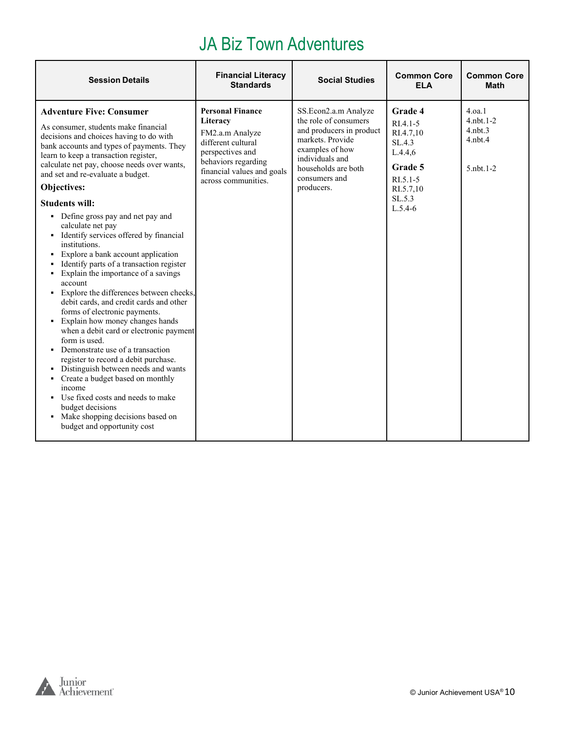#### JA Biz Town Adventures

| <b>Session Details</b>                                                                                                                                                                                                                                                                                                                                                                                                                                                                                                                                                                                                                                                                                                                                                                                                                                                                                                                                                                                                                                                                                                          | <b>Financial Literacy</b><br><b>Standards</b>                                                                                                                                | <b>Social Studies</b>                                                                                                                                                                     | <b>Common Core</b><br><b>ELA</b>                                                                                       | <b>Common Core</b><br><b>Math</b>                                              |
|---------------------------------------------------------------------------------------------------------------------------------------------------------------------------------------------------------------------------------------------------------------------------------------------------------------------------------------------------------------------------------------------------------------------------------------------------------------------------------------------------------------------------------------------------------------------------------------------------------------------------------------------------------------------------------------------------------------------------------------------------------------------------------------------------------------------------------------------------------------------------------------------------------------------------------------------------------------------------------------------------------------------------------------------------------------------------------------------------------------------------------|------------------------------------------------------------------------------------------------------------------------------------------------------------------------------|-------------------------------------------------------------------------------------------------------------------------------------------------------------------------------------------|------------------------------------------------------------------------------------------------------------------------|--------------------------------------------------------------------------------|
| <b>Adventure Five: Consumer</b><br>As consumer, students make financial<br>decisions and choices having to do with<br>bank accounts and types of payments. They<br>learn to keep a transaction register,<br>calculate net pay, choose needs over wants,<br>and set and re-evaluate a budget.<br>Objectives:<br><b>Students will:</b><br>• Define gross pay and net pay and<br>calculate net pay<br>• Identify services offered by financial<br>institutions.<br>• Explore a bank account application<br>Identify parts of a transaction register<br>Explain the importance of a savings<br>account<br>• Explore the differences between checks,<br>debit cards, and credit cards and other<br>forms of electronic payments.<br>• Explain how money changes hands<br>when a debit card or electronic payment<br>form is used.<br>Demonstrate use of a transaction<br>register to record a debit purchase.<br>• Distinguish between needs and wants<br>Create a budget based on monthly<br>income<br>• Use fixed costs and needs to make<br>budget decisions<br>• Make shopping decisions based on<br>budget and opportunity cost | <b>Personal Finance</b><br>Literacy<br>FM2.a.m Analyze<br>different cultural<br>perspectives and<br>behaviors regarding<br>financial values and goals<br>across communities. | SS.Econ2.a.m Analyze<br>the role of consumers<br>and producers in product<br>markets. Provide<br>examples of how<br>individuals and<br>households are both<br>consumers and<br>producers. | Grade 4<br>$RI.4.1-5$<br>RI.4.7.10<br>SL.4.3<br>L.4.4.6<br>Grade 5<br>$RI.5.1 - 5$<br>RI.5.7,10<br>SL.5.3<br>$L.5.4-6$ | 4.0a.1<br>$4.$ nbt. $1-2$<br>$4.$ nbt. $3$<br>$4.$ nbt. $4$<br>$5.$ nbt. $1-2$ |

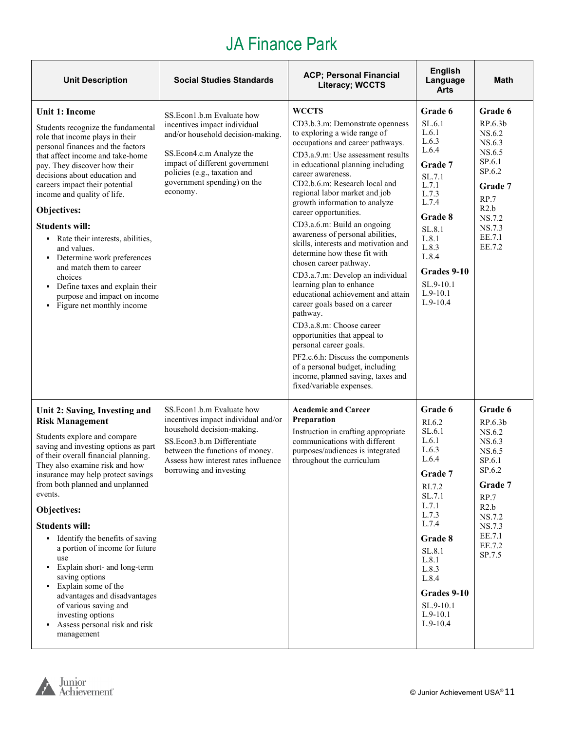# JA Finance Park

| <b>Unit Description</b>                                                                                                                                                                                                                                                                                                                                                                                                                                                                                                                                                                                                       | <b>Social Studies Standards</b>                                                                                                                                                                                                         | <b>ACP; Personal Financial</b><br><b>Literacy; WCCTS</b>                                                                                                                                                                                                                                                                                                                                                                                                                                                                                                                                                                                                                                                                                                                                                                                                                                               | <b>English</b><br>Language<br><b>Arts</b>                                                                                                                                                                                | Math                                                                                                                                                          |
|-------------------------------------------------------------------------------------------------------------------------------------------------------------------------------------------------------------------------------------------------------------------------------------------------------------------------------------------------------------------------------------------------------------------------------------------------------------------------------------------------------------------------------------------------------------------------------------------------------------------------------|-----------------------------------------------------------------------------------------------------------------------------------------------------------------------------------------------------------------------------------------|--------------------------------------------------------------------------------------------------------------------------------------------------------------------------------------------------------------------------------------------------------------------------------------------------------------------------------------------------------------------------------------------------------------------------------------------------------------------------------------------------------------------------------------------------------------------------------------------------------------------------------------------------------------------------------------------------------------------------------------------------------------------------------------------------------------------------------------------------------------------------------------------------------|--------------------------------------------------------------------------------------------------------------------------------------------------------------------------------------------------------------------------|---------------------------------------------------------------------------------------------------------------------------------------------------------------|
| Unit 1: Income<br>Students recognize the fundamental<br>role that income plays in their<br>personal finances and the factors<br>that affect income and take-home<br>pay. They discover how their<br>decisions about education and<br>careers impact their potential<br>income and quality of life.<br>Objectives:<br><b>Students will:</b><br>• Rate their interests, abilities,<br>and values.<br>• Determine work preferences<br>and match them to career<br>choices<br>• Define taxes and explain their<br>purpose and impact on income<br>• Figure net monthly income                                                     | SS.Econ1.b.m Evaluate how<br>incentives impact individual<br>and/or household decision-making.<br>SS.Econ4.c.m Analyze the<br>impact of different government<br>policies (e.g., taxation and<br>government spending) on the<br>economy. | <b>WCCTS</b><br>CD3.b.3.m: Demonstrate openness<br>to exploring a wide range of<br>occupations and career pathways.<br>CD3.a.9.m: Use assessment results<br>in educational planning including<br>career awareness.<br>CD2.b.6.m: Research local and<br>regional labor market and job<br>growth information to analyze<br>career opportunities.<br>CD3.a.6.m: Build an ongoing<br>awareness of personal abilities,<br>skills, interests and motivation and<br>determine how these fit with<br>chosen career pathway.<br>CD3.a.7.m: Develop an individual<br>learning plan to enhance<br>educational achievement and attain<br>career goals based on a career<br>pathway.<br>CD3.a.8.m: Choose career<br>opportunities that appeal to<br>personal career goals.<br>PF2.c.6.h: Discuss the components<br>of a personal budget, including<br>income, planned saving, taxes and<br>fixed/variable expenses. | Grade 6<br>SL.6.1<br>L.6.1<br>L.6.3<br>L.6.4<br>Grade 7<br>SL.7.1<br>L.7.1<br>L.7.3<br>L.7.4<br>Grade 8<br>SL.8.1<br>L.8.1<br>L.8.3<br>L.8.4<br>Grades 9-10<br>SL.9-10.1<br>$L.9-10.1$<br>$L.9-10.4$                     | Grade 6<br>RP.6.3b<br>NS.6.2<br>NS.6.3<br>NS.6.5<br>SP.6.1<br>SP.6.2<br>Grade 7<br>RP.7<br>R2.b<br>NS.7.2<br>NS.7.3<br>EE.7.1<br>EE.7.2                       |
| Unit 2: Saving, Investing and<br><b>Risk Management</b><br>Students explore and compare<br>saving and investing options as part<br>of their overall financial planning.<br>They also examine risk and how<br>insurance may help protect savings<br>from both planned and unplanned<br>events.<br>Objectives:<br><b>Students will:</b><br>• Identify the benefits of saving<br>a portion of income for future<br>use<br>• Explain short- and long-term<br>saving options<br>• Explain some of the<br>advantages and disadvantages<br>of various saving and<br>investing options<br>Assess personal risk and risk<br>management | SS.Econ1.b.m Evaluate how<br>incentives impact individual and/or<br>household decision-making.<br>SS.Econ3.b.m Differentiate<br>between the functions of money.<br>Assess how interest rates influence<br>borrowing and investing       | <b>Academic and Career</b><br>Preparation<br>Instruction in crafting appropriate<br>communications with different<br>purposes/audiences is integrated<br>throughout the curriculum                                                                                                                                                                                                                                                                                                                                                                                                                                                                                                                                                                                                                                                                                                                     | Grade 6<br>RI.6.2<br>SL.6.1<br>L.6.1<br>L.6.3<br>L.6.4<br>Grade 7<br>RI.7.2<br>SL.7.1<br>L.7.1<br>L.7.3<br>L.7.4<br>Grade 8<br>SL.8.1<br>L.8.1<br>L.8.3<br>L.8.4<br>Grades 9-10<br>SL.9-10.1<br>$L.9-10.1$<br>$L.9-10.4$ | Grade 6<br>RP.6.3 <sub>b</sub><br>NS.6.2<br>NS.6.3<br>NS.6.5<br>SP.6.1<br>SP.6.2<br>Grade 7<br>RP.7<br>R2.b<br>NS.7.2<br>NS.7.3<br>EE.7.1<br>EE.7.2<br>SP.7.5 |

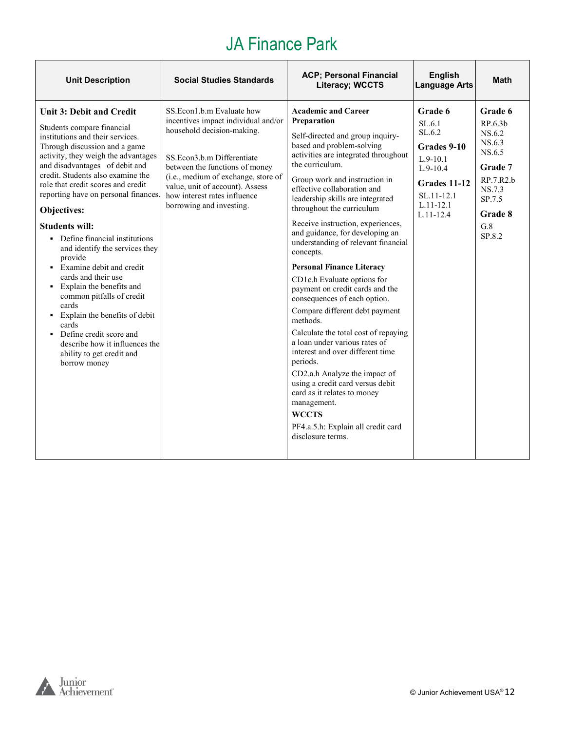# JA Finance Park

| <b>Unit Description</b>                                                                                                                                                                                                                                                                                                                                                                                                                                                                                                                                                                                                                                                                                                          | <b>Social Studies Standards</b>                                                                                                                                                                                                                                                                      | <b>ACP; Personal Financial</b><br><b>Literacy; WCCTS</b>                                                                                                                                                                                                                                                                                                                                                                                                                                                                                                                                                                                                                                                                                                                                                                                                                                                                                      | <b>English</b><br><b>Language Arts</b>                                                                                                     | <b>Math</b>                                                                                                                          |
|----------------------------------------------------------------------------------------------------------------------------------------------------------------------------------------------------------------------------------------------------------------------------------------------------------------------------------------------------------------------------------------------------------------------------------------------------------------------------------------------------------------------------------------------------------------------------------------------------------------------------------------------------------------------------------------------------------------------------------|------------------------------------------------------------------------------------------------------------------------------------------------------------------------------------------------------------------------------------------------------------------------------------------------------|-----------------------------------------------------------------------------------------------------------------------------------------------------------------------------------------------------------------------------------------------------------------------------------------------------------------------------------------------------------------------------------------------------------------------------------------------------------------------------------------------------------------------------------------------------------------------------------------------------------------------------------------------------------------------------------------------------------------------------------------------------------------------------------------------------------------------------------------------------------------------------------------------------------------------------------------------|--------------------------------------------------------------------------------------------------------------------------------------------|--------------------------------------------------------------------------------------------------------------------------------------|
| Unit 3: Debit and Credit<br>Students compare financial<br>institutions and their services.<br>Through discussion and a game<br>activity, they weigh the advantages<br>and disadvantages of debit and<br>credit. Students also examine the<br>role that credit scores and credit<br>reporting have on personal finances.<br>Objectives:<br><b>Students will:</b><br>• Define financial institutions<br>and identify the services they<br>provide<br>• Examine debit and credit<br>cards and their use<br>• Explain the benefits and<br>common pitfalls of credit<br>cards<br>• Explain the benefits of debit<br>cards<br>• Define credit score and<br>describe how it influences the<br>ability to get credit and<br>borrow money | SS.Econ1.b.m Evaluate how<br>incentives impact individual and/or<br>household decision-making.<br>SS.Econ3.b.m Differentiate<br>between the functions of money<br>(i.e., medium of exchange, store of<br>value, unit of account). Assess<br>how interest rates influence<br>borrowing and investing. | <b>Academic and Career</b><br>Preparation<br>Self-directed and group inquiry-<br>based and problem-solving<br>activities are integrated throughout<br>the curriculum.<br>Group work and instruction in<br>effective collaboration and<br>leadership skills are integrated<br>throughout the curriculum<br>Receive instruction, experiences,<br>and guidance, for developing an<br>understanding of relevant financial<br>concepts.<br><b>Personal Finance Literacy</b><br>CD1c.h Evaluate options for<br>payment on credit cards and the<br>consequences of each option.<br>Compare different debt payment<br>methods.<br>Calculate the total cost of repaying<br>a loan under various rates of<br>interest and over different time<br>periods.<br>CD2.a.h Analyze the impact of<br>using a credit card versus debit<br>card as it relates to money<br>management.<br><b>WCCTS</b><br>PF4.a.5.h: Explain all credit card<br>disclosure terms. | Grade 6<br>SL.6.1<br>SL.6.2<br>Grades 9-10<br>$L.9-10.1$<br>$L.9-10.4$<br>Grades 11-12<br>$SL.11 - 12.1$<br>$L.11 - 12.1$<br>$L.11 - 12.4$ | Grade 6<br>RP.6.3 <sub>b</sub><br>NS.6.2<br>NS.6.3<br>NS.6.5<br>Grade 7<br>RP.7.R2.b<br>NS.7.3<br>SP.7.5<br>Grade 8<br>G.8<br>SP.8.2 |

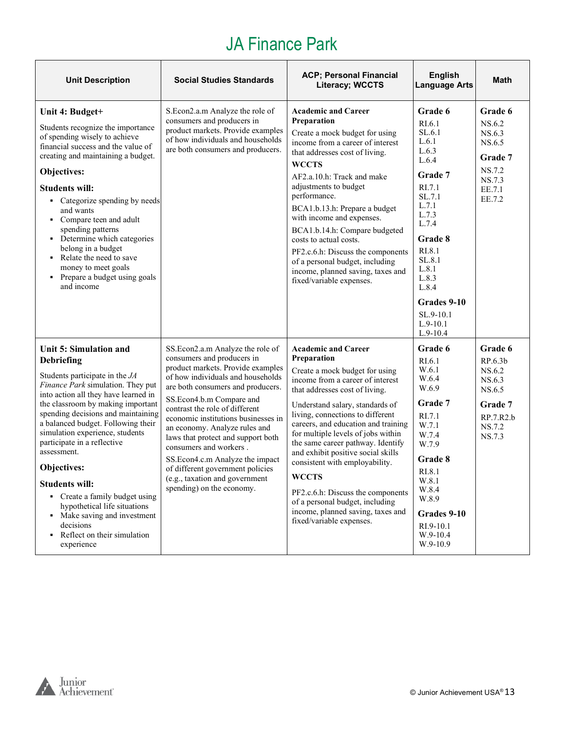# JA Finance Park

| <b>Unit Description</b>                                                                                                                                                                                                                                                                                                                                                                                                                                                                                                                                            | <b>Social Studies Standards</b>                                                                                                                                                                                                                                                                                                                                                                                                                                                                                           | <b>ACP; Personal Financial</b><br><b>Literacy; WCCTS</b>                                                                                                                                                                                                                                                                                                                                                                                                                                                                                                                    | <b>English</b><br><b>Language Arts</b>                                                                                                                                                                               | Math                                                                                         |
|--------------------------------------------------------------------------------------------------------------------------------------------------------------------------------------------------------------------------------------------------------------------------------------------------------------------------------------------------------------------------------------------------------------------------------------------------------------------------------------------------------------------------------------------------------------------|---------------------------------------------------------------------------------------------------------------------------------------------------------------------------------------------------------------------------------------------------------------------------------------------------------------------------------------------------------------------------------------------------------------------------------------------------------------------------------------------------------------------------|-----------------------------------------------------------------------------------------------------------------------------------------------------------------------------------------------------------------------------------------------------------------------------------------------------------------------------------------------------------------------------------------------------------------------------------------------------------------------------------------------------------------------------------------------------------------------------|----------------------------------------------------------------------------------------------------------------------------------------------------------------------------------------------------------------------|----------------------------------------------------------------------------------------------|
| Unit 4: Budget+<br>Students recognize the importance<br>of spending wisely to achieve<br>financial success and the value of<br>creating and maintaining a budget.<br>Objectives:<br><b>Students will:</b><br>• Categorize spending by needs<br>and wants<br>• Compare teen and adult<br>spending patterns<br>• Determine which categories<br>belong in a budget<br>• Relate the need to save<br>money to meet goals<br>• Prepare a budget using goals<br>and income                                                                                                | S.Econ2.a.m Analyze the role of<br>consumers and producers in<br>product markets. Provide examples<br>of how individuals and households<br>are both consumers and producers.                                                                                                                                                                                                                                                                                                                                              | <b>Academic and Career</b><br>Preparation<br>Create a mock budget for using<br>income from a career of interest<br>that addresses cost of living.<br><b>WCCTS</b><br>AF2.a.10.h: Track and make<br>adjustments to budget<br>performance.<br>BCA1.b.13.h: Prepare a budget<br>with income and expenses.<br>BCA1.b.14.h: Compare budgeted<br>costs to actual costs.<br>PF2.c.6.h: Discuss the components<br>of a personal budget, including<br>income, planned saving, taxes and<br>fixed/variable expenses.                                                                  | Grade 6<br>RI.6.1<br>SL.6.1<br>L.6.1<br>L.6.3<br>L.6.4<br>Grade 7<br>RI.7.1<br>SL.7.1<br>L.7.1<br>L.7.3<br>L.7.4<br>Grade 8<br>RI.8.1<br>SL.8.1<br>L.8.1<br>L.8.3<br>L.8.4<br>Grades 9-10<br>SL.9-10.1<br>$L.9-10.1$ | Grade 6<br>NS.6.2<br>NS.6.3<br>NS.6.5<br>Grade 7<br>NS.7.2<br>NS.7.3<br>EE.7.1<br>EE.7.2     |
| Unit 5: Simulation and<br><b>Debriefing</b><br>Students participate in the JA<br>Finance Park simulation. They put<br>into action all they have learned in<br>the classroom by making important<br>spending decisions and maintaining<br>a balanced budget. Following their<br>simulation experience, students<br>participate in a reflective<br>assessment.<br>Objectives:<br><b>Students will:</b><br>• Create a family budget using<br>hypothetical life situations<br>• Make saving and investment<br>decisions<br>• Reflect on their simulation<br>experience | SS.Econ2.a.m Analyze the role of<br>consumers and producers in<br>product markets. Provide examples<br>of how individuals and households<br>are both consumers and producers.<br>SS.Econ4.b.m Compare and<br>contrast the role of different<br>economic institutions businesses in<br>an economy. Analyze rules and<br>laws that protect and support both<br>consumers and workers.<br>SS.Econ4.c.m Analyze the impact<br>of different government policies<br>(e.g., taxation and government<br>spending) on the economy. | <b>Academic and Career</b><br>Preparation<br>Create a mock budget for using<br>income from a career of interest<br>that addresses cost of living.<br>Understand salary, standards of<br>living, connections to different<br>careers, and education and training<br>for multiple levels of jobs within<br>the same career pathway. Identify<br>and exhibit positive social skills<br>consistent with employability.<br><b>WCCTS</b><br>PF2.c.6.h: Discuss the components<br>of a personal budget, including<br>income, planned saving, taxes and<br>fixed/variable expenses. | $L.9-10.4$<br>Grade 6<br>RI.6.1<br>W.6.1<br>W.6.4<br>W.6.9<br>Grade 7<br>RI.7.1<br>W.7.1<br>W.7.4<br>W.7.9<br>Grade 8<br>RI.8.1<br>W.8.1<br>W.8.4<br>W.8.9<br>Grades 9-10<br>RI.9-10.1<br>W.9-10.4<br>W.9-10.9       | Grade 6<br>RP.6.3b<br>NS.6.2<br>NS.6.3<br>NS.6.5<br>Grade 7<br>RP.7.R2.b<br>NS.7.2<br>NS.7.3 |

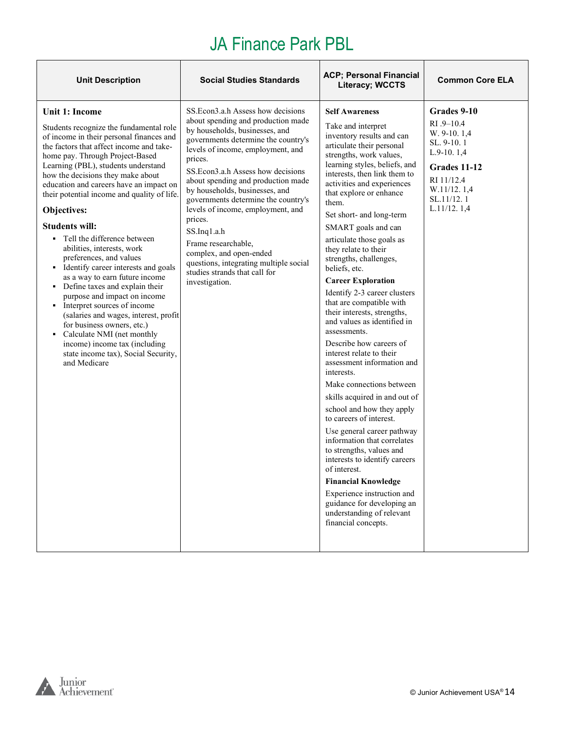| <b>Unit Description</b>                                                                                                                                                                                                                                                                                                                                                                                                                                                                                                                                                                                                                                                                                                                                                                                                                                                     | <b>Social Studies Standards</b>                                                                                                                                                                                                                                                                                                                                                                                                                                                                                                                                     | <b>ACP; Personal Financial</b><br><b>Literacy; WCCTS</b>                                                                                                                                                                                                                                                                                                                                                                                                                                                                                                                                                                                                                                                                                                                                                                                                                                                                                                                                                                                                                                                      | <b>Common Core ELA</b>                                                                                                                             |
|-----------------------------------------------------------------------------------------------------------------------------------------------------------------------------------------------------------------------------------------------------------------------------------------------------------------------------------------------------------------------------------------------------------------------------------------------------------------------------------------------------------------------------------------------------------------------------------------------------------------------------------------------------------------------------------------------------------------------------------------------------------------------------------------------------------------------------------------------------------------------------|---------------------------------------------------------------------------------------------------------------------------------------------------------------------------------------------------------------------------------------------------------------------------------------------------------------------------------------------------------------------------------------------------------------------------------------------------------------------------------------------------------------------------------------------------------------------|---------------------------------------------------------------------------------------------------------------------------------------------------------------------------------------------------------------------------------------------------------------------------------------------------------------------------------------------------------------------------------------------------------------------------------------------------------------------------------------------------------------------------------------------------------------------------------------------------------------------------------------------------------------------------------------------------------------------------------------------------------------------------------------------------------------------------------------------------------------------------------------------------------------------------------------------------------------------------------------------------------------------------------------------------------------------------------------------------------------|----------------------------------------------------------------------------------------------------------------------------------------------------|
| Unit 1: Income<br>Students recognize the fundamental role<br>of income in their personal finances and<br>the factors that affect income and take-<br>home pay. Through Project-Based<br>Learning (PBL), students understand<br>how the decisions they make about<br>education and careers have an impact on<br>their potential income and quality of life.<br>Objectives:<br><b>Students will:</b><br>• Tell the difference between<br>abilities, interests, work<br>preferences, and values<br>• Identify career interests and goals<br>as a way to earn future income<br>• Define taxes and explain their<br>purpose and impact on income<br>• Interpret sources of income<br>(salaries and wages, interest, profit<br>for business owners, etc.)<br>• Calculate NMI (net monthly<br>income) income tax (including<br>state income tax), Social Security,<br>and Medicare | SS. Econ3.a.h Assess how decisions<br>about spending and production made<br>by households, businesses, and<br>governments determine the country's<br>levels of income, employment, and<br>prices.<br>SS.Econ3.a.h Assess how decisions<br>about spending and production made<br>by households, businesses, and<br>governments determine the country's<br>levels of income, employment, and<br>prices.<br>SS.Inq1.a.h<br>Frame researchable,<br>complex, and open-ended<br>questions, integrating multiple social<br>studies strands that call for<br>investigation. | <b>Self Awareness</b><br>Take and interpret<br>inventory results and can<br>articulate their personal<br>strengths, work values,<br>learning styles, beliefs, and<br>interests, then link them to<br>activities and experiences<br>that explore or enhance<br>them.<br>Set short- and long-term<br>SMART goals and can<br>articulate those goals as<br>they relate to their<br>strengths, challenges,<br>beliefs, etc.<br><b>Career Exploration</b><br>Identify 2-3 career clusters<br>that are compatible with<br>their interests, strengths,<br>and values as identified in<br>assessments.<br>Describe how careers of<br>interest relate to their<br>assessment information and<br>interests.<br>Make connections between<br>skills acquired in and out of<br>school and how they apply<br>to careers of interest.<br>Use general career pathway<br>information that correlates<br>to strengths, values and<br>interests to identify careers<br>of interest.<br><b>Financial Knowledge</b><br>Experience instruction and<br>guidance for developing an<br>understanding of relevant<br>financial concepts. | Grades 9-10<br>RI .9-10.4<br>W. 9-10. 1.4<br>SL, 9-10, 1<br>$L.9-10.1,4$<br>Grades 11-12<br>RI 11/12.4<br>W.11/12.1,4<br>SL.11/12.1<br>L.11/12.1,4 |

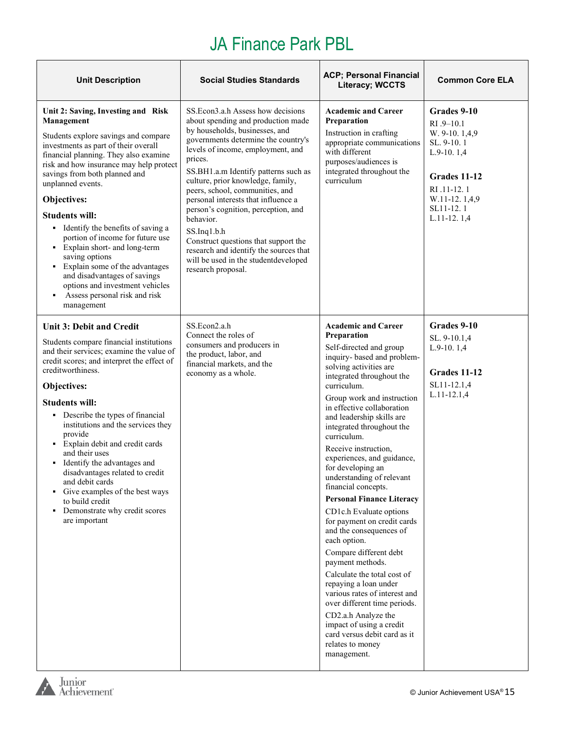| <b>Unit Description</b>                                                                                                                                                                                                                                                                                                                                                                                                                                                                                                                                                                                         | <b>Social Studies Standards</b>                                                                                                                                                                                                                                                                                                                                                                                                                                                                                                                                                   | <b>ACP; Personal Financial</b><br><b>Literacy; WCCTS</b>                                                                                                                                                                                                                                                                                                                                                                                                                                                                                                                                                                                                                                                                                                                                                                                                                            | <b>Common Core ELA</b>                                                                                                                                   |
|-----------------------------------------------------------------------------------------------------------------------------------------------------------------------------------------------------------------------------------------------------------------------------------------------------------------------------------------------------------------------------------------------------------------------------------------------------------------------------------------------------------------------------------------------------------------------------------------------------------------|-----------------------------------------------------------------------------------------------------------------------------------------------------------------------------------------------------------------------------------------------------------------------------------------------------------------------------------------------------------------------------------------------------------------------------------------------------------------------------------------------------------------------------------------------------------------------------------|-------------------------------------------------------------------------------------------------------------------------------------------------------------------------------------------------------------------------------------------------------------------------------------------------------------------------------------------------------------------------------------------------------------------------------------------------------------------------------------------------------------------------------------------------------------------------------------------------------------------------------------------------------------------------------------------------------------------------------------------------------------------------------------------------------------------------------------------------------------------------------------|----------------------------------------------------------------------------------------------------------------------------------------------------------|
| Unit 2: Saving, Investing and Risk<br>Management<br>Students explore savings and compare<br>investments as part of their overall<br>financial planning. They also examine<br>risk and how insurance may help protect<br>savings from both planned and<br>unplanned events.<br>Objectives:<br><b>Students will:</b><br>• Identify the benefits of saving a<br>portion of income for future use<br>• Explain short- and long-term<br>saving options<br>Explain some of the advantages<br>٠<br>and disadvantages of savings<br>options and investment vehicles<br>Assess personal risk and risk<br>٠<br>management | SS. Econ3.a.h Assess how decisions<br>about spending and production made<br>by households, businesses, and<br>governments determine the country's<br>levels of income, employment, and<br>prices.<br>SS.BH1.a.m Identify patterns such as<br>culture, prior knowledge, family,<br>peers, school, communities, and<br>personal interests that influence a<br>person's cognition, perception, and<br>behavior.<br>$SS$ .Inq $1.b.h$<br>Construct questions that support the<br>research and identify the sources that<br>will be used in the studentdeveloped<br>research proposal. | <b>Academic and Career</b><br>Preparation<br>Instruction in crafting<br>appropriate communications<br>with different<br>purposes/audiences is<br>integrated throughout the<br>curriculum                                                                                                                                                                                                                                                                                                                                                                                                                                                                                                                                                                                                                                                                                            | Grades 9-10<br>$RI.9-10.1$<br>W. 9-10. 1,4,9<br>SL. 9-10.1<br>$L.9-10.1,4$<br>Grades 11-12<br>RI .11-12.1<br>W.11-12.1,4,9<br>SL11-12.1<br>$L.11-12.1,4$ |
| <b>Unit 3: Debit and Credit</b><br>Students compare financial institutions<br>and their services; examine the value of<br>credit scores; and interpret the effect of<br>creditworthiness.<br>Objectives:<br><b>Students will:</b><br>• Describe the types of financial<br>institutions and the services they<br>provide<br>Explain debit and credit cards<br>and their uses<br>• Identify the advantages and<br>disadvantages related to credit<br>and debit cards<br>• Give examples of the best ways<br>to build credit<br>Demonstrate why credit scores<br>$\blacksquare$<br>are important                   | SS.Econ2.a.h<br>Connect the roles of<br>consumers and producers in<br>the product, labor, and<br>financial markets, and the<br>economy as a whole.                                                                                                                                                                                                                                                                                                                                                                                                                                | <b>Academic and Career</b><br>Preparation<br>Self-directed and group<br>inquiry- based and problem-<br>solving activities are<br>integrated throughout the<br>curriculum.<br>Group work and instruction<br>in effective collaboration<br>and leadership skills are<br>integrated throughout the<br>curriculum.<br>Receive instruction,<br>experiences, and guidance,<br>for developing an<br>understanding of relevant<br>financial concepts.<br><b>Personal Finance Literacy</b><br>CD1c.h Evaluate options<br>for payment on credit cards<br>and the consequences of<br>each option.<br>Compare different debt<br>payment methods.<br>Calculate the total cost of<br>repaying a loan under<br>various rates of interest and<br>over different time periods.<br>CD2.a.h Analyze the<br>impact of using a credit<br>card versus debit card as it<br>relates to money<br>management. | Grades 9-10<br>SL. 9-10.1,4<br>$L.9-10.1,4$<br>Grades 11-12<br>SL11-12.1,4<br>$L.11 - 12.1,4$                                                            |

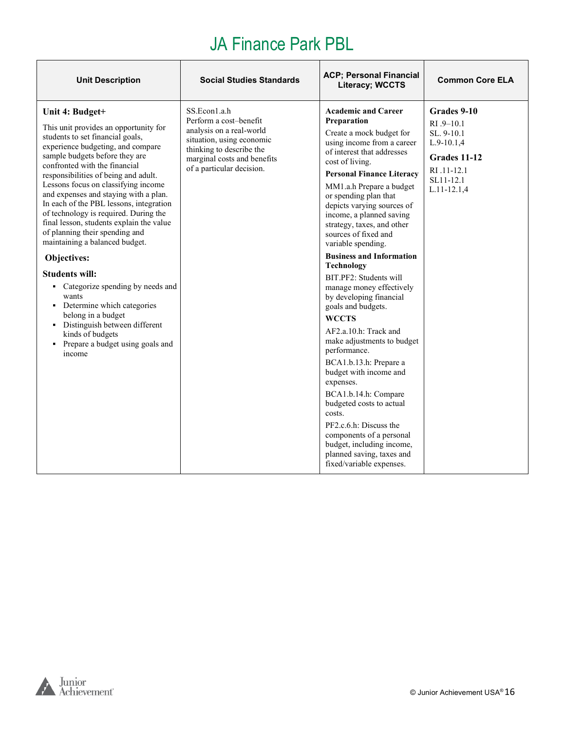| <b>Unit Description</b>                                                                                                                                                                                                                                                                                                                                                                                                                                                                                                                                                                                                                                                                                                                                                              | <b>Social Studies Standards</b>                                                                                                                                                         | <b>ACP</b> ; Personal Financial<br>Literacy; WCCTS                                                                                                                                                                                                                                                                                                                                                                                                                                                                                                                                                                                                                                                                                                                                                                                                                                                                   | <b>Common Core ELA</b>                                                                                                           |
|--------------------------------------------------------------------------------------------------------------------------------------------------------------------------------------------------------------------------------------------------------------------------------------------------------------------------------------------------------------------------------------------------------------------------------------------------------------------------------------------------------------------------------------------------------------------------------------------------------------------------------------------------------------------------------------------------------------------------------------------------------------------------------------|-----------------------------------------------------------------------------------------------------------------------------------------------------------------------------------------|----------------------------------------------------------------------------------------------------------------------------------------------------------------------------------------------------------------------------------------------------------------------------------------------------------------------------------------------------------------------------------------------------------------------------------------------------------------------------------------------------------------------------------------------------------------------------------------------------------------------------------------------------------------------------------------------------------------------------------------------------------------------------------------------------------------------------------------------------------------------------------------------------------------------|----------------------------------------------------------------------------------------------------------------------------------|
| Unit 4: Budget+<br>This unit provides an opportunity for<br>students to set financial goals,<br>experience budgeting, and compare<br>sample budgets before they are<br>confronted with the financial<br>responsibilities of being and adult.<br>Lessons focus on classifying income<br>and expenses and staying with a plan.<br>In each of the PBL lessons, integration<br>of technology is required. During the<br>final lesson, students explain the value<br>of planning their spending and<br>maintaining a balanced budget.<br>Objectives:<br><b>Students will:</b><br>• Categorize spending by needs and<br>wants<br>• Determine which categories<br>belong in a budget<br>• Distinguish between different<br>kinds of budgets<br>• Prepare a budget using goals and<br>income | SS.Econ1.a.h<br>Perform a cost-benefit<br>analysis on a real-world<br>situation, using economic<br>thinking to describe the<br>marginal costs and benefits<br>of a particular decision. | <b>Academic and Career</b><br>Preparation<br>Create a mock budget for<br>using income from a career<br>of interest that addresses<br>cost of living.<br><b>Personal Finance Literacy</b><br>MM1.a.h Prepare a budget<br>or spending plan that<br>depicts varying sources of<br>income, a planned saving<br>strategy, taxes, and other<br>sources of fixed and<br>variable spending.<br><b>Business and Information</b><br><b>Technology</b><br>BIT.PF2: Students will<br>manage money effectively<br>by developing financial<br>goals and budgets.<br><b>WCCTS</b><br>AF2.a.10.h: Track and<br>make adjustments to budget<br>performance.<br>BCA1.b.13.h: Prepare a<br>budget with income and<br>expenses.<br>BCA1.b.14.h: Compare<br>budgeted costs to actual<br>costs.<br>PF2.c.6.h: Discuss the<br>components of a personal<br>budget, including income,<br>planned saving, taxes and<br>fixed/variable expenses. | Grades 9-10<br>$RI.9 - 10.1$<br>SL. 9-10.1<br>$L.9-10.1,4$<br><b>Grades 11-12</b><br>RI .11-12.1<br>SL11-12.1<br>$L.11 - 12.1,4$ |

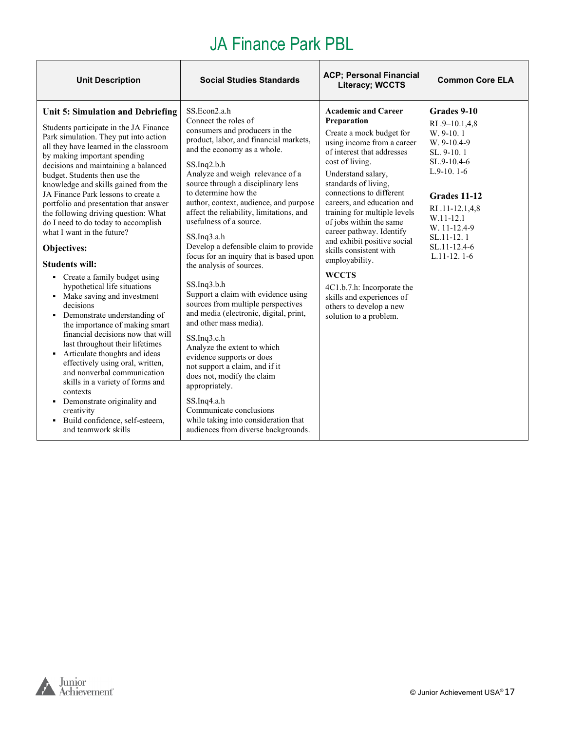| <b>Unit Description</b>                                                                                                                                                                                                                                                                                                                                                                                                                                                                                                                                                                                                                                                                                                                                                                                                                                                                                                                                                                                                                                                          | <b>Social Studies Standards</b>                                                                                                                                                                                                                                                                                                                                                                                                                                                                                                                                                                                                                                                                                                                                                                                                                                                                                                                                                     | <b>ACP; Personal Financial</b><br>Literacy; WCCTS                                                                                                                                                                                                                                                                                                                                                                                                                                                                                                              | <b>Common Core ELA</b>                                                                                                                                                                                                 |
|----------------------------------------------------------------------------------------------------------------------------------------------------------------------------------------------------------------------------------------------------------------------------------------------------------------------------------------------------------------------------------------------------------------------------------------------------------------------------------------------------------------------------------------------------------------------------------------------------------------------------------------------------------------------------------------------------------------------------------------------------------------------------------------------------------------------------------------------------------------------------------------------------------------------------------------------------------------------------------------------------------------------------------------------------------------------------------|-------------------------------------------------------------------------------------------------------------------------------------------------------------------------------------------------------------------------------------------------------------------------------------------------------------------------------------------------------------------------------------------------------------------------------------------------------------------------------------------------------------------------------------------------------------------------------------------------------------------------------------------------------------------------------------------------------------------------------------------------------------------------------------------------------------------------------------------------------------------------------------------------------------------------------------------------------------------------------------|----------------------------------------------------------------------------------------------------------------------------------------------------------------------------------------------------------------------------------------------------------------------------------------------------------------------------------------------------------------------------------------------------------------------------------------------------------------------------------------------------------------------------------------------------------------|------------------------------------------------------------------------------------------------------------------------------------------------------------------------------------------------------------------------|
| Unit 5: Simulation and Debriefing<br>Students participate in the JA Finance<br>Park simulation. They put into action<br>all they have learned in the classroom<br>by making important spending<br>decisions and maintaining a balanced<br>budget. Students then use the<br>knowledge and skills gained from the<br>JA Finance Park lessons to create a<br>portfolio and presentation that answer<br>the following driving question: What<br>do I need to do today to accomplish<br>what I want in the future?<br>Objectives:<br><b>Students will:</b><br>• Create a family budget using<br>hypothetical life situations<br>• Make saving and investment<br>decisions<br>• Demonstrate understanding of<br>the importance of making smart<br>financial decisions now that will<br>last throughout their lifetimes<br>• Articulate thoughts and ideas<br>effectively using oral, written,<br>and nonverbal communication<br>skills in a variety of forms and<br>contexts<br>• Demonstrate originality and<br>creativity<br>· Build confidence, self-esteem,<br>and teamwork skills | SS.Econ2.a.h<br>Connect the roles of<br>consumers and producers in the<br>product, labor, and financial markets,<br>and the economy as a whole.<br>$SS$ . Inq2.b.h<br>Analyze and weigh relevance of a<br>source through a disciplinary lens<br>to determine how the<br>author, context, audience, and purpose<br>affect the reliability, limitations, and<br>usefulness of a source.<br>SS.Inq3.a.h<br>Develop a defensible claim to provide<br>focus for an inquiry that is based upon<br>the analysis of sources.<br>SS.Inq3.b.h<br>Support a claim with evidence using<br>sources from multiple perspectives<br>and media (electronic, digital, print,<br>and other mass media).<br>$SS$ . Inq $3$ .c. h<br>Analyze the extent to which<br>evidence supports or does<br>not support a claim, and if it<br>does not, modify the claim<br>appropriately.<br>SS.Inq4.a.h<br>Communicate conclusions<br>while taking into consideration that<br>audiences from diverse backgrounds. | <b>Academic and Career</b><br>Preparation<br>Create a mock budget for<br>using income from a career<br>of interest that addresses<br>cost of living.<br>Understand salary,<br>standards of living,<br>connections to different<br>careers, and education and<br>training for multiple levels<br>of jobs within the same<br>career pathway. Identify<br>and exhibit positive social<br>skills consistent with<br>employability.<br><b>WCCTS</b><br>4C1.b.7.h: Incorporate the<br>skills and experiences of<br>others to develop a new<br>solution to a problem. | Grades 9-10<br>RI .9-10.1,4,8<br>W. 9-10.1<br>W. 9-10.4-9<br>SL, 9-10, 1<br>SL.9-10.4-6<br>$L.9-10.1-6$<br>Grades 11-12<br>RI .11-12.1,4,8<br>W.11-12.1<br>W. 11-12.4-9<br>SL.11-12.1<br>SL.11-12.4-6<br>$L.11-12.1-6$ |

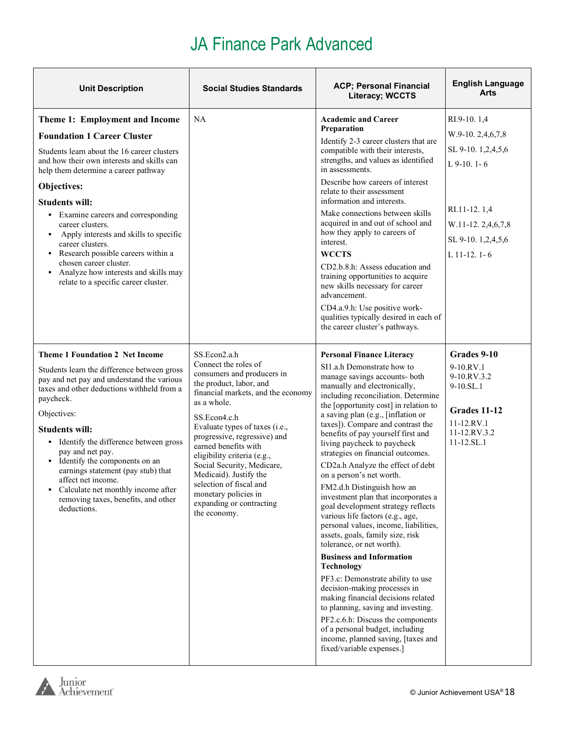| <b>Unit Description</b>                                                                                                                                                                                                                                                                                                                                                                                                                                                                                                        | <b>Social Studies Standards</b>                                                                                                                                                                                                                                                                                                                                                                                                                    | <b>ACP; Personal Financial</b><br><b>Literacy; WCCTS</b>                                                                                                                                                                                                                                                                                                                                                                                                                                                                                                                                                                                                                                                                                                                                                                                                                                                                                                                                                                                                                           | <b>English Language</b><br>Arts                                                                                                                     |
|--------------------------------------------------------------------------------------------------------------------------------------------------------------------------------------------------------------------------------------------------------------------------------------------------------------------------------------------------------------------------------------------------------------------------------------------------------------------------------------------------------------------------------|----------------------------------------------------------------------------------------------------------------------------------------------------------------------------------------------------------------------------------------------------------------------------------------------------------------------------------------------------------------------------------------------------------------------------------------------------|------------------------------------------------------------------------------------------------------------------------------------------------------------------------------------------------------------------------------------------------------------------------------------------------------------------------------------------------------------------------------------------------------------------------------------------------------------------------------------------------------------------------------------------------------------------------------------------------------------------------------------------------------------------------------------------------------------------------------------------------------------------------------------------------------------------------------------------------------------------------------------------------------------------------------------------------------------------------------------------------------------------------------------------------------------------------------------|-----------------------------------------------------------------------------------------------------------------------------------------------------|
| Theme 1: Employment and Income<br><b>Foundation 1 Career Cluster</b><br>Students learn about the 16 career clusters<br>and how their own interests and skills can<br>help them determine a career pathway<br>Objectives:<br><b>Students will:</b><br>• Examine careers and corresponding<br>career clusters.<br>• Apply interests and skills to specific<br>career clusters.<br>Research possible careers within a<br>chosen career cluster.<br>• Analyze how interests and skills may<br>relate to a specific career cluster. | NA                                                                                                                                                                                                                                                                                                                                                                                                                                                 | <b>Academic and Career</b><br>Preparation<br>Identify 2-3 career clusters that are<br>compatible with their interests,<br>strengths, and values as identified<br>in assessments.<br>Describe how careers of interest<br>relate to their assessment<br>information and interests.<br>Make connections between skills<br>acquired in and out of school and<br>how they apply to careers of<br>interest.<br><b>WCCTS</b><br>CD2.b.8.h: Assess education and<br>training opportunities to acquire<br>new skills necessary for career<br>advancement.<br>CD4.a.9.h: Use positive work-<br>qualities typically desired in each of<br>the career cluster's pathways.                                                                                                                                                                                                                                                                                                                                                                                                                      | RI.9-10.1,4<br>W.9-10.2,4,6,7,8<br>SL 9-10. 1,2,4,5,6<br>$L$ 9-10. 1-6<br>RI.11-12.1,4<br>W.11-12.2,4,6,7,8<br>SL 9-10. 1,2,4,5,6<br>$L$ 11-12. 1-6 |
| <b>Theme 1 Foundation 2 Net Income</b><br>Students learn the difference between gross<br>pay and net pay and understand the various<br>taxes and other deductions withheld from a<br>paycheck.<br>Objectives:<br><b>Students will:</b><br>• Identify the difference between gross<br>pay and net pay.<br>• Identify the components on an<br>earnings statement (pay stub) that<br>affect net income.<br>Calculate net monthly income after<br>removing taxes, benefits, and other<br>deductions.                               | SS.Econ2.a.h<br>Connect the roles of<br>consumers and producers in<br>the product, labor, and<br>financial markets, and the economy<br>as a whole.<br>SS.Econ4.c.h<br>Evaluate types of taxes (i.e.,<br>progressive, regressive) and<br>earned benefits with<br>eligibility criteria (e.g.,<br>Social Security, Medicare,<br>Medicaid). Justify the<br>selection of fiscal and<br>monetary policies in<br>expanding or contracting<br>the economy. | <b>Personal Finance Literacy</b><br>SI1.a.h Demonstrate how to<br>manage savings accounts- both<br>manually and electronically,<br>including reconciliation. Determine<br>the [opportunity cost] in relation to<br>a saving plan (e.g., [inflation or<br>taxes]). Compare and contrast the<br>benefits of pay yourself first and<br>living paycheck to paycheck<br>strategies on financial outcomes.<br>CD2a.h Analyze the effect of debt<br>on a person's net worth.<br>FM2.d.h Distinguish how an<br>investment plan that incorporates a<br>goal development strategy reflects<br>various life factors (e.g., age,<br>personal values, income, liabilities,<br>assets, goals, family size, risk<br>tolerance, or net worth).<br><b>Business and Information</b><br><b>Technology</b><br>PF3.c: Demonstrate ability to use<br>decision-making processes in<br>making financial decisions related<br>to planning, saving and investing.<br>PF2.c.6.h: Discuss the components<br>of a personal budget, including<br>income, planned saving, [taxes and<br>fixed/variable expenses.] | Grades 9-10<br>9-10.RV.1<br>9-10.RV.3.2<br>9-10.SL.1<br>Grades 11-12<br>11-12.RV.1<br>11-12.RV.3.2<br>11-12.SL.1                                    |

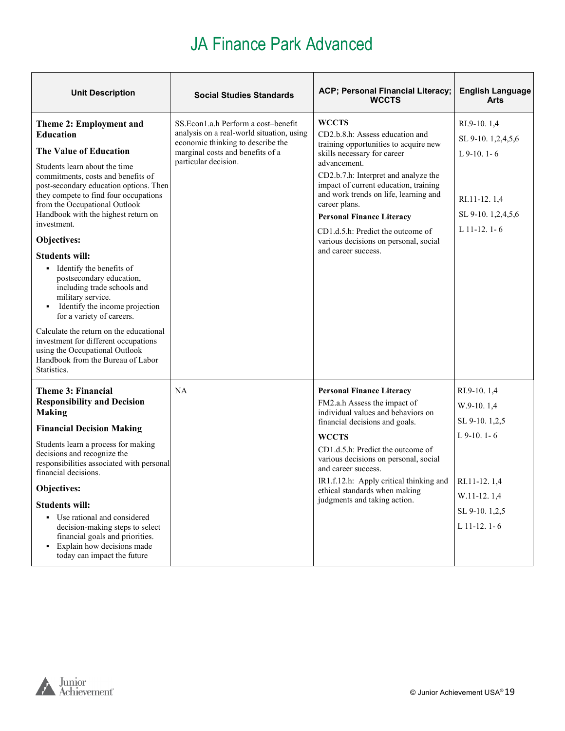| <b>Unit Description</b>                                                                                                                                                                 | <b>Social Studies Standards</b>                                                                                       | ACP; Personal Financial Literacy;<br><b>WCCTS</b>                                                                                                       | <b>English Language</b><br>Arts   |
|-----------------------------------------------------------------------------------------------------------------------------------------------------------------------------------------|-----------------------------------------------------------------------------------------------------------------------|---------------------------------------------------------------------------------------------------------------------------------------------------------|-----------------------------------|
| Theme 2: Employment and<br><b>Education</b>                                                                                                                                             | SS.Econ1.a.h Perform a cost-benefit<br>analysis on a real-world situation, using<br>economic thinking to describe the | <b>WCCTS</b><br>CD2.b.8.h: Assess education and<br>training opportunities to acquire new                                                                | RI.9-10.1,4<br>SL 9-10. 1,2,4,5,6 |
| <b>The Value of Education</b>                                                                                                                                                           | marginal costs and benefits of a                                                                                      | skills necessary for career                                                                                                                             | $L$ 9-10. 1-6                     |
| Students learn about the time<br>commitments, costs and benefits of<br>post-secondary education options. Then<br>they compete to find four occupations<br>from the Occupational Outlook | particular decision.                                                                                                  | advancement.<br>CD2.b.7.h: Interpret and analyze the<br>impact of current education, training<br>and work trends on life, learning and<br>career plans. | RI.11-12.1,4                      |
| Handbook with the highest return on<br>investment.                                                                                                                                      |                                                                                                                       | <b>Personal Finance Literacy</b>                                                                                                                        | SL 9-10. 1,2,4,5,6                |
| Objectives:                                                                                                                                                                             |                                                                                                                       | CD1.d.5.h: Predict the outcome of<br>various decisions on personal, social<br>and career success.                                                       | L $11-12.1-6$                     |
| <b>Students will:</b>                                                                                                                                                                   |                                                                                                                       |                                                                                                                                                         |                                   |
| • Identify the benefits of<br>postsecondary education,<br>including trade schools and<br>military service.<br>Identify the income projection<br>for a variety of careers.               |                                                                                                                       |                                                                                                                                                         |                                   |
| Calculate the return on the educational<br>investment for different occupations<br>using the Occupational Outlook<br>Handbook from the Bureau of Labor<br>Statistics.                   |                                                                                                                       |                                                                                                                                                         |                                   |
| Theme 3: Financial                                                                                                                                                                      | NA                                                                                                                    | <b>Personal Finance Literacy</b>                                                                                                                        | RI.9-10.1,4                       |
| <b>Responsibility and Decision</b><br><b>Making</b>                                                                                                                                     |                                                                                                                       | FM2.a.h Assess the impact of<br>individual values and behaviors on                                                                                      | $W.9-10.1,4$                      |
| <b>Financial Decision Making</b>                                                                                                                                                        |                                                                                                                       | financial decisions and goals.                                                                                                                          | SL 9-10.1,2,5                     |
| Students learn a process for making                                                                                                                                                     |                                                                                                                       | <b>WCCTS</b>                                                                                                                                            | $L$ 9-10. 1-6                     |
| decisions and recognize the<br>responsibilities associated with personal<br>financial decisions.                                                                                        |                                                                                                                       | CD1.d.5.h: Predict the outcome of<br>various decisions on personal, social<br>and career success.                                                       |                                   |
| Objectives:                                                                                                                                                                             | IR1.f.12.h: Apply critical thinking and<br>ethical standards when making                                              |                                                                                                                                                         | RI.11-12.1,4                      |
| <b>Students will:</b>                                                                                                                                                                   |                                                                                                                       | judgments and taking action.                                                                                                                            | W.11-12.1,4                       |
| • Use rational and considered                                                                                                                                                           |                                                                                                                       |                                                                                                                                                         | SL 9-10. 1,2,5                    |
| decision-making steps to select<br>financial goals and priorities.<br>• Explain how decisions made<br>today can impact the future                                                       |                                                                                                                       |                                                                                                                                                         | $L$ 11-12. 1-6                    |

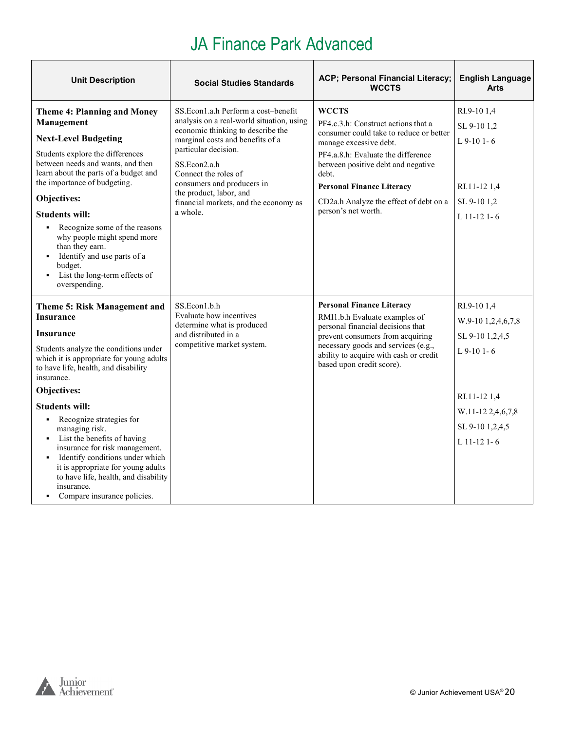| <b>Unit Description</b>                                                                                                                                                                                                                                                                                                                                                                                                                                                                                                                        | <b>Social Studies Standards</b>                                                                                                                                                                                                                                                                                                         | ACP; Personal Financial Literacy;<br><b>WCCTS</b>                                                                                                                                                                                                                                                           | <b>English Language</b><br><b>Arts</b>                                                                                                       |
|------------------------------------------------------------------------------------------------------------------------------------------------------------------------------------------------------------------------------------------------------------------------------------------------------------------------------------------------------------------------------------------------------------------------------------------------------------------------------------------------------------------------------------------------|-----------------------------------------------------------------------------------------------------------------------------------------------------------------------------------------------------------------------------------------------------------------------------------------------------------------------------------------|-------------------------------------------------------------------------------------------------------------------------------------------------------------------------------------------------------------------------------------------------------------------------------------------------------------|----------------------------------------------------------------------------------------------------------------------------------------------|
| <b>Theme 4: Planning and Money</b><br>Management<br><b>Next-Level Budgeting</b><br>Students explore the differences<br>between needs and wants, and then<br>learn about the parts of a budget and<br>the importance of budgeting.<br>Objectives:<br><b>Students will:</b><br>• Recognize some of the reasons<br>why people might spend more<br>than they earn.<br>Identify and use parts of a<br>budget.<br>• List the long-term effects of<br>overspending.                                                                                   | SS.Econ1.a.h Perform a cost–benefit<br>analysis on a real-world situation, using<br>economic thinking to describe the<br>marginal costs and benefits of a<br>particular decision.<br>SS.Econ2.a.h<br>Connect the roles of<br>consumers and producers in<br>the product, labor, and<br>financial markets, and the economy as<br>a whole. | WCCTS<br>PF4.c.3.h: Construct actions that a<br>consumer could take to reduce or better<br>manage excessive debt.<br>PF4.a.8.h: Evaluate the difference<br>between positive debt and negative<br>debt.<br><b>Personal Finance Literacy</b><br>CD2a.h Analyze the effect of debt on a<br>person's net worth. | RI.9-101,4<br>SL 9-10 1,2<br>$L$ 9-10 1-6<br>RI.11-12 1,4<br>SL 9-10 1,2<br>$L$ 11-12 1-6                                                    |
| Theme 5: Risk Management and<br><b>Insurance</b><br>Insurance<br>Students analyze the conditions under<br>which it is appropriate for young adults<br>to have life, health, and disability<br>insurance.<br>Objectives:<br><b>Students will:</b><br>Recognize strategies for<br>٠<br>managing risk.<br>• List the benefits of having<br>insurance for risk management.<br>Identify conditions under which<br>٠<br>it is appropriate for young adults<br>to have life, health, and disability<br>insurance.<br>Compare insurance policies.<br>٠ | SS.Econ1.b.h<br>Evaluate how incentives<br>determine what is produced<br>and distributed in a<br>competitive market system.                                                                                                                                                                                                             | <b>Personal Finance Literacy</b><br>RMI1.b.h Evaluate examples of<br>personal financial decisions that<br>prevent consumers from acquiring<br>necessary goods and services (e.g.,<br>ability to acquire with cash or credit<br>based upon credit score).                                                    | RI.9-101,4<br>W.9-10 1,2,4,6,7,8<br>SL 9-10 1,2,4,5<br>$L$ 9-10 1-6<br>RI.11-12 1,4<br>W.11-12 2,4,6,7,8<br>SL 9-10 1,2,4,5<br>$L$ 11-12 1-6 |

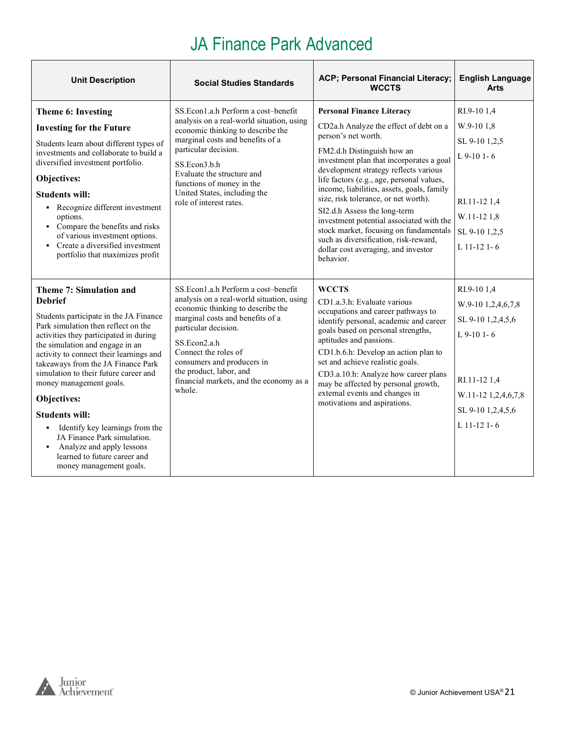| <b>Unit Description</b>                                                                                                                                                                                                                                                                                                                                                                                                                                                                                                                                            | <b>Social Studies Standards</b>                                                                                                                                                                                                                                                                                                         | ACP; Personal Financial Literacy;<br><b>WCCTS</b>                                                                                                                                                                                                                                                                                                                                                                                                                                                                                                                          | <b>English Language</b><br><b>Arts</b>                                                                                                              |
|--------------------------------------------------------------------------------------------------------------------------------------------------------------------------------------------------------------------------------------------------------------------------------------------------------------------------------------------------------------------------------------------------------------------------------------------------------------------------------------------------------------------------------------------------------------------|-----------------------------------------------------------------------------------------------------------------------------------------------------------------------------------------------------------------------------------------------------------------------------------------------------------------------------------------|----------------------------------------------------------------------------------------------------------------------------------------------------------------------------------------------------------------------------------------------------------------------------------------------------------------------------------------------------------------------------------------------------------------------------------------------------------------------------------------------------------------------------------------------------------------------------|-----------------------------------------------------------------------------------------------------------------------------------------------------|
| Theme 6: Investing<br><b>Investing for the Future</b><br>Students learn about different types of<br>investments and collaborate to build a<br>diversified investment portfolio.<br>Objectives:<br><b>Students will:</b><br>• Recognize different investment<br>options.<br>• Compare the benefits and risks<br>of various investment options.<br>• Create a diversified investment<br>portfolio that maximizes profit                                                                                                                                              | SS. Econ1.a.h Perform a cost-benefit<br>analysis on a real-world situation, using<br>economic thinking to describe the<br>marginal costs and benefits of a<br>particular decision.<br>SS.Econ3.b.h<br>Evaluate the structure and<br>functions of money in the<br>United States, including the<br>role of interest rates.                | <b>Personal Finance Literacy</b><br>CD2a.h Analyze the effect of debt on a<br>person's net worth.<br>FM2.d.h Distinguish how an<br>investment plan that incorporates a goal<br>development strategy reflects various<br>life factors (e.g., age, personal values,<br>income, liabilities, assets, goals, family<br>size, risk tolerance, or net worth).<br>SI2.d.h Assess the long-term<br>investment potential associated with the<br>stock market, focusing on fundamentals<br>such as diversification, risk-reward,<br>dollar cost averaging, and investor<br>behavior. | RI.9-101,4<br>W.9-10 1.8<br>SL 9-10 1,2,5<br>$L$ 9-10 1-6<br>RI.11-12 1.4<br>W.11-12 1.8<br>SL 9-10 1,2,5<br>L 11-12 1-6                            |
| Theme 7: Simulation and<br><b>Debrief</b><br>Students participate in the JA Finance<br>Park simulation then reflect on the<br>activities they participated in during<br>the simulation and engage in an<br>activity to connect their learnings and<br>takeaways from the JA Finance Park<br>simulation to their future career and<br>money management goals.<br>Objectives:<br><b>Students will:</b><br>• Identify key learnings from the<br>JA Finance Park simulation.<br>• Analyze and apply lessons<br>learned to future career and<br>money management goals. | SS.Econ1.a.h Perform a cost-benefit<br>analysis on a real-world situation, using<br>economic thinking to describe the<br>marginal costs and benefits of a<br>particular decision.<br>SS.Econ2.a.h<br>Connect the roles of<br>consumers and producers in<br>the product, labor, and<br>financial markets, and the economy as a<br>whole. | <b>WCCTS</b><br>CD1.a.3.h: Evaluate various<br>occupations and career pathways to<br>identify personal, academic and career<br>goals based on personal strengths,<br>aptitudes and passions.<br>CD1.b.6.h: Develop an action plan to<br>set and achieve realistic goals.<br>CD3.a.10.h: Analyze how career plans<br>may be affected by personal growth,<br>external events and changes in<br>motivations and aspirations.                                                                                                                                                  | RI.9-10 1,4<br>W.9-10 1,2,4,6,7,8<br>SL 9-10 1,2,4,5,6<br>$L$ 9-10 1-6<br>RI.11-12 1,4<br>W.11-12 1,2,4,6,7,8<br>SL 9-10 1,2,4,5,6<br>$L$ 11-12 1-6 |

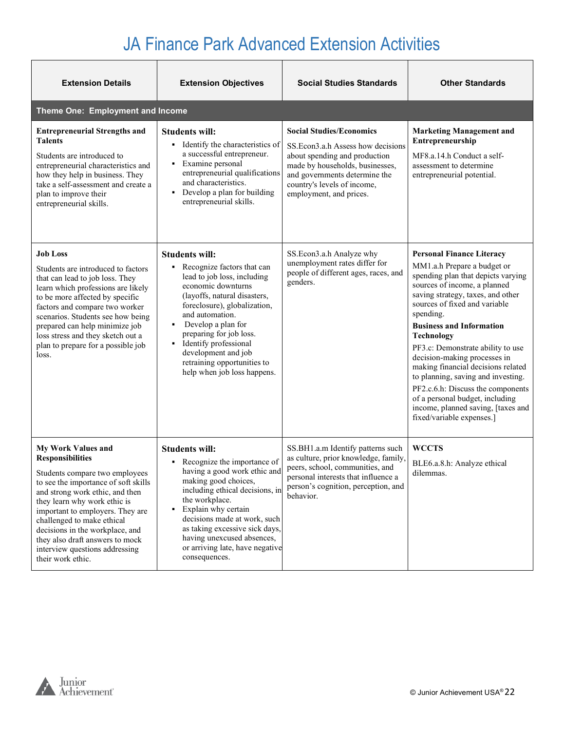| <b>Extension Details</b>                                                                                                                                                                                                                                                                                                                                                                         | <b>Extension Objectives</b>                                                                                                                                                                                                                                                                                                                                               | <b>Social Studies Standards</b>                                                                                                                                                                                                      | <b>Other Standards</b>                                                                                                                                                                                                                                                                                                                                                                                                                                                                                                                                                       |
|--------------------------------------------------------------------------------------------------------------------------------------------------------------------------------------------------------------------------------------------------------------------------------------------------------------------------------------------------------------------------------------------------|---------------------------------------------------------------------------------------------------------------------------------------------------------------------------------------------------------------------------------------------------------------------------------------------------------------------------------------------------------------------------|--------------------------------------------------------------------------------------------------------------------------------------------------------------------------------------------------------------------------------------|------------------------------------------------------------------------------------------------------------------------------------------------------------------------------------------------------------------------------------------------------------------------------------------------------------------------------------------------------------------------------------------------------------------------------------------------------------------------------------------------------------------------------------------------------------------------------|
| Theme One: Employment and Income                                                                                                                                                                                                                                                                                                                                                                 |                                                                                                                                                                                                                                                                                                                                                                           |                                                                                                                                                                                                                                      |                                                                                                                                                                                                                                                                                                                                                                                                                                                                                                                                                                              |
| <b>Entrepreneurial Strengths and</b><br><b>Talents</b><br>Students are introduced to<br>entrepreneurial characteristics and<br>how they help in business. They<br>take a self-assessment and create a<br>plan to improve their<br>entrepreneurial skills.                                                                                                                                        | <b>Students will:</b><br>Identify the characteristics of<br>٠<br>a successful entrepreneur.<br>Examine personal<br>٠<br>entrepreneurial qualifications<br>and characteristics.<br>Develop a plan for building<br>entrepreneurial skills.                                                                                                                                  | <b>Social Studies/Economics</b><br>SS. Econ3.a.h Assess how decisions<br>about spending and production<br>made by households, businesses,<br>and governments determine the<br>country's levels of income,<br>employment, and prices. | <b>Marketing Management and</b><br>Entrepreneurship<br>MF8.a.14.h Conduct a self-<br>assessment to determine<br>entrepreneurial potential.                                                                                                                                                                                                                                                                                                                                                                                                                                   |
| <b>Job Loss</b><br>Students are introduced to factors<br>that can lead to job loss. They<br>learn which professions are likely<br>to be more affected by specific<br>factors and compare two worker<br>scenarios. Students see how being<br>prepared can help minimize job<br>loss stress and they sketch out a<br>plan to prepare for a possible job<br>loss.                                   | <b>Students will:</b><br>Recognize factors that can<br>٠<br>lead to job loss, including<br>economic downturns<br>(layoffs, natural disasters,<br>foreclosure), globalization,<br>and automation.<br>Develop a plan for<br>٠<br>preparing for job loss.<br>Identify professional<br>٠<br>development and job<br>retraining opportunities to<br>help when job loss happens. | SS.Econ3.a.h Analyze why<br>unemployment rates differ for<br>people of different ages, races, and<br>genders.                                                                                                                        | <b>Personal Finance Literacy</b><br>MM1.a.h Prepare a budget or<br>spending plan that depicts varying<br>sources of income, a planned<br>saving strategy, taxes, and other<br>sources of fixed and variable<br>spending.<br><b>Business and Information</b><br><b>Technology</b><br>PF3.c: Demonstrate ability to use<br>decision-making processes in<br>making financial decisions related<br>to planning, saving and investing.<br>PF2.c.6.h: Discuss the components<br>of a personal budget, including<br>income, planned saving, [taxes and<br>fixed/variable expenses.] |
| <b>My Work Values and</b><br><b>Responsibilities</b><br>Students compare two employees<br>to see the importance of soft skills<br>and strong work ethic, and then<br>they learn why work ethic is<br>important to employers. They are<br>challenged to make ethical<br>decisions in the workplace, and<br>they also draft answers to mock<br>interview questions addressing<br>their work ethic. | <b>Students will:</b><br>Recognize the importance of<br>٠<br>having a good work ethic and<br>making good choices,<br>including ethical decisions, in<br>the workplace.<br>Explain why certain<br>٠<br>decisions made at work, such<br>as taking excessive sick days,<br>having unexcused absences,<br>or arriving late, have negative<br>consequences.                    | SS.BH1.a.m Identify patterns such<br>as culture, prior knowledge, family,<br>peers, school, communities, and<br>personal interests that influence a<br>person's cognition, perception, and<br>behavior.                              | <b>WCCTS</b><br>BLE6.a.8.h: Analyze ethical<br>dilemmas.                                                                                                                                                                                                                                                                                                                                                                                                                                                                                                                     |

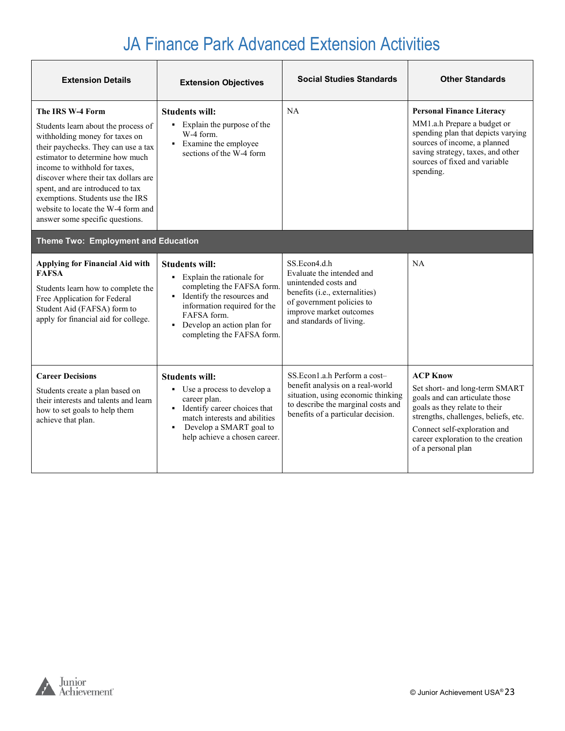| <b>Extension Details</b>                                                                                                                                                                                                                                                                                                                                                                      | <b>Extension Objectives</b>                                                                                                                                                                                                                     | <b>Social Studies Standards</b>                                                                                                                                                         | <b>Other Standards</b>                                                                                                                                                                                                                                   |
|-----------------------------------------------------------------------------------------------------------------------------------------------------------------------------------------------------------------------------------------------------------------------------------------------------------------------------------------------------------------------------------------------|-------------------------------------------------------------------------------------------------------------------------------------------------------------------------------------------------------------------------------------------------|-----------------------------------------------------------------------------------------------------------------------------------------------------------------------------------------|----------------------------------------------------------------------------------------------------------------------------------------------------------------------------------------------------------------------------------------------------------|
| The IRS W-4 Form<br>Students learn about the process of<br>withholding money for taxes on<br>their paychecks. They can use a tax<br>estimator to determine how much<br>income to withhold for taxes,<br>discover where their tax dollars are<br>spent, and are introduced to tax<br>exemptions. Students use the IRS<br>website to locate the W-4 form and<br>answer some specific questions. | <b>Students will:</b><br>• Explain the purpose of the<br>W-4 form.<br>• Examine the employee<br>sections of the W-4 form                                                                                                                        | NA                                                                                                                                                                                      | <b>Personal Finance Literacy</b><br>MM1.a.h Prepare a budget or<br>spending plan that depicts varying<br>sources of income, a planned<br>saving strategy, taxes, and other<br>sources of fixed and variable<br>spending.                                 |
| Theme Two: Employment and Education                                                                                                                                                                                                                                                                                                                                                           |                                                                                                                                                                                                                                                 |                                                                                                                                                                                         |                                                                                                                                                                                                                                                          |
| Applying for Financial Aid with<br><b>FAFSA</b><br>Students learn how to complete the<br>Free Application for Federal<br>Student Aid (FAFSA) form to<br>apply for financial aid for college.                                                                                                                                                                                                  | <b>Students will:</b><br>• Explain the rationale for<br>completing the FAFSA form.<br>Identify the resources and<br>$\blacksquare$<br>information required for the<br>FAFSA form.<br>• Develop an action plan for<br>completing the FAFSA form. | SS.Econ4.d.h<br>Evaluate the intended and<br>unintended costs and<br>benefits (i.e., externalities)<br>of government policies to<br>improve market outcomes<br>and standards of living. | NA                                                                                                                                                                                                                                                       |
| <b>Career Decisions</b><br>Students create a plan based on<br>their interests and talents and learn<br>how to set goals to help them<br>achieve that plan.                                                                                                                                                                                                                                    | <b>Students will:</b><br>• Use a process to develop a<br>career plan.<br>• Identify career choices that<br>match interests and abilities<br>Develop a SMART goal to<br>$\blacksquare$<br>help achieve a chosen career.                          | SS. Econ1.a.h Perform a cost-<br>benefit analysis on a real-world<br>situation, using economic thinking<br>to describe the marginal costs and<br>benefits of a particular decision.     | <b>ACP Know</b><br>Set short- and long-term SMART<br>goals and can articulate those<br>goals as they relate to their<br>strengths, challenges, beliefs, etc.<br>Connect self-exploration and<br>career exploration to the creation<br>of a personal plan |

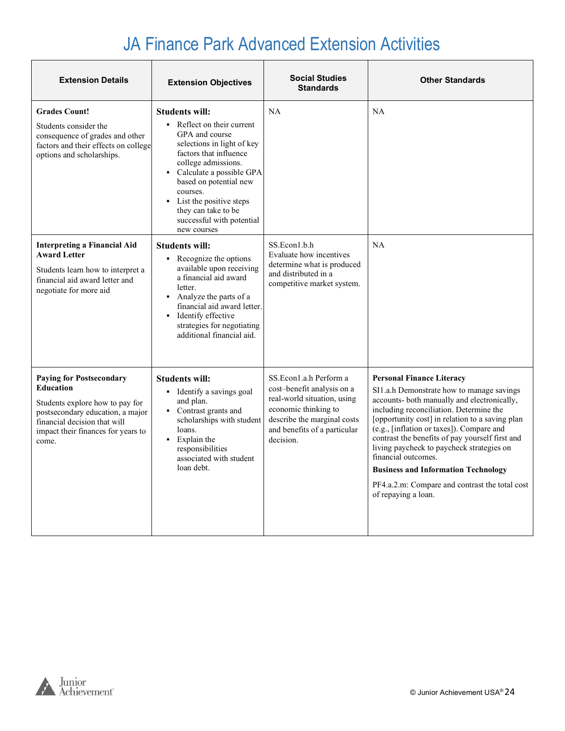| <b>Extension Details</b>                                                                                                                                                                                  | <b>Extension Objectives</b>                                                                                                                                                                                                                                                                                                  | <b>Social Studies</b><br><b>Standards</b>                                                                                                                                               | <b>Other Standards</b>                                                                                                                                                                                                                                                                                                                                                                                                                                                                                                |
|-----------------------------------------------------------------------------------------------------------------------------------------------------------------------------------------------------------|------------------------------------------------------------------------------------------------------------------------------------------------------------------------------------------------------------------------------------------------------------------------------------------------------------------------------|-----------------------------------------------------------------------------------------------------------------------------------------------------------------------------------------|-----------------------------------------------------------------------------------------------------------------------------------------------------------------------------------------------------------------------------------------------------------------------------------------------------------------------------------------------------------------------------------------------------------------------------------------------------------------------------------------------------------------------|
| <b>Grades Count!</b><br>Students consider the<br>consequence of grades and other<br>factors and their effects on college<br>options and scholarships.                                                     | Students will:<br>$\blacksquare$ Reflect on their current<br>GPA and course<br>selections in light of key<br>factors that influence<br>college admissions.<br>Calculate a possible GPA<br>based on potential new<br>courses.<br>• List the positive steps<br>they can take to be<br>successful with potential<br>new courses | NA                                                                                                                                                                                      | <b>NA</b>                                                                                                                                                                                                                                                                                                                                                                                                                                                                                                             |
| <b>Interpreting a Financial Aid</b><br><b>Award Letter</b><br>Students learn how to interpret a<br>financial aid award letter and<br>negotiate for more aid                                               | Students will:<br>• Recognize the options<br>available upon receiving<br>a financial aid award<br>letter.<br>• Analyze the parts of a<br>financial aid award letter.<br>• Identify effective<br>strategies for negotiating<br>additional financial aid.                                                                      | SS.Econ1.b.h<br>Evaluate how incentives<br>determine what is produced<br>and distributed in a<br>competitive market system.                                                             | NA                                                                                                                                                                                                                                                                                                                                                                                                                                                                                                                    |
| <b>Paying for Postsecondary</b><br><b>Education</b><br>Students explore how to pay for<br>postsecondary education, a major<br>financial decision that will<br>impact their finances for years to<br>come. | <b>Students will:</b><br>• Identify a savings goal<br>and plan.<br>Contrast grants and<br>scholarships with student<br>loans.<br>• Explain the<br>responsibilities<br>associated with student<br>loan debt.                                                                                                                  | SS.Econ1.a.h Perform a<br>cost-benefit analysis on a<br>real-world situation, using<br>economic thinking to<br>describe the marginal costs<br>and benefits of a particular<br>decision. | <b>Personal Finance Literacy</b><br>SI1.a.h Demonstrate how to manage savings<br>accounts- both manually and electronically,<br>including reconciliation. Determine the<br>[opportunity cost] in relation to a saving plan<br>(e.g., [inflation or taxes]). Compare and<br>contrast the benefits of pay yourself first and<br>living paycheck to paycheck strategies on<br>financial outcomes.<br><b>Business and Information Technology</b><br>PF4.a.2.m: Compare and contrast the total cost<br>of repaying a loan. |

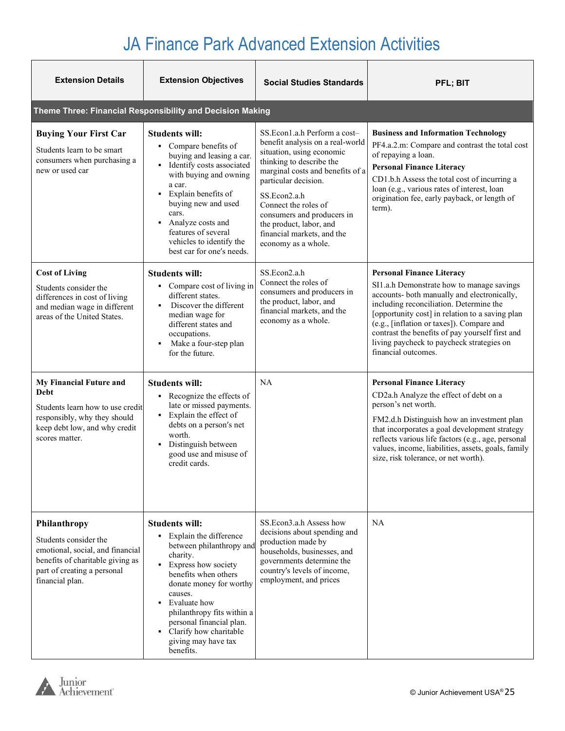| <b>Extension Details</b>                                                                                                                                        | <b>Extension Objectives</b>                                                                                                                                                                                                                                                                                                          | <b>Social Studies Standards</b>                                                                                                                                                                                                                                                                                                             | <b>PFL: BIT</b>                                                                                                                                                                                                                                                                                                                                                                                |
|-----------------------------------------------------------------------------------------------------------------------------------------------------------------|--------------------------------------------------------------------------------------------------------------------------------------------------------------------------------------------------------------------------------------------------------------------------------------------------------------------------------------|---------------------------------------------------------------------------------------------------------------------------------------------------------------------------------------------------------------------------------------------------------------------------------------------------------------------------------------------|------------------------------------------------------------------------------------------------------------------------------------------------------------------------------------------------------------------------------------------------------------------------------------------------------------------------------------------------------------------------------------------------|
|                                                                                                                                                                 | Theme Three: Financial Responsibility and Decision Making                                                                                                                                                                                                                                                                            |                                                                                                                                                                                                                                                                                                                                             |                                                                                                                                                                                                                                                                                                                                                                                                |
| <b>Buying Your First Car</b><br>Students learn to be smart<br>consumers when purchasing a<br>new or used car                                                    | <b>Students will:</b><br>• Compare benefits of<br>buying and leasing a car.<br>Identify costs associated<br>$\blacksquare$<br>with buying and owning<br>a car.<br>• Explain benefits of<br>buying new and used<br>cars.<br>Analyze costs and<br>features of several<br>vehicles to identify the<br>best car for one's needs.         | SS.Econ1.a.h Perform a cost-<br>benefit analysis on a real-world<br>situation, using economic<br>thinking to describe the<br>marginal costs and benefits of a<br>particular decision.<br>SS.Econ2.a.h<br>Connect the roles of<br>consumers and producers in<br>the product, labor, and<br>financial markets, and the<br>economy as a whole. | <b>Business and Information Technology</b><br>PF4.a.2.m: Compare and contrast the total cost<br>of repaying a loan.<br><b>Personal Finance Literacy</b><br>CD1.b.h Assess the total cost of incurring a<br>loan (e.g., various rates of interest, loan<br>origination fee, early payback, or length of<br>term).                                                                               |
| <b>Cost of Living</b><br>Students consider the<br>differences in cost of living<br>and median wage in different<br>areas of the United States.                  | <b>Students will:</b><br>• Compare cost of living in<br>different states.<br>Discover the different<br>median wage for<br>different states and<br>occupations.<br>Make a four-step plan<br>$\blacksquare$<br>for the future.                                                                                                         | SS.Econ2.a.h<br>Connect the roles of<br>consumers and producers in<br>the product, labor, and<br>financial markets, and the<br>economy as a whole.                                                                                                                                                                                          | <b>Personal Finance Literacy</b><br>SI1.a.h Demonstrate how to manage savings<br>accounts- both manually and electronically,<br>including reconciliation. Determine the<br>[opportunity cost] in relation to a saving plan<br>(e.g., [inflation or taxes]). Compare and<br>contrast the benefits of pay yourself first and<br>living paycheck to paycheck strategies on<br>financial outcomes. |
| My Financial Future and<br>Debt<br>Students learn how to use credit<br>responsibly, why they should<br>keep debt low, and why credit<br>scores matter.          | <b>Students will:</b><br>Recognize the effects of<br>late or missed payments.<br>• Explain the effect of<br>debts on a person's net<br>worth.<br>• Distinguish between<br>good use and misuse of<br>credit cards.                                                                                                                    | <b>NA</b>                                                                                                                                                                                                                                                                                                                                   | <b>Personal Finance Literacy</b><br>CD2a.h Analyze the effect of debt on a<br>person's net worth.<br>FM2.d.h Distinguish how an investment plan<br>that incorporates a goal development strategy<br>reflects various life factors (e.g., age, personal<br>values, income, liabilities, assets, goals, family<br>size, risk tolerance, or net worth).                                           |
| Philanthropy<br>Students consider the<br>emotional, social, and financial<br>benefits of charitable giving as<br>part of creating a personal<br>financial plan. | Students will:<br>Explain the difference<br>٠<br>between philanthropy and<br>charity.<br>Express how society<br>$\blacksquare$<br>benefits when others<br>donate money for worthy<br>causes.<br>Evaluate how<br>philanthropy fits within a<br>personal financial plan.<br>Clarify how charitable<br>giving may have tax<br>benefits. | SS.Econ3.a.h Assess how<br>decisions about spending and<br>production made by<br>households, businesses, and<br>governments determine the<br>country's levels of income,<br>employment, and prices                                                                                                                                          | NA                                                                                                                                                                                                                                                                                                                                                                                             |

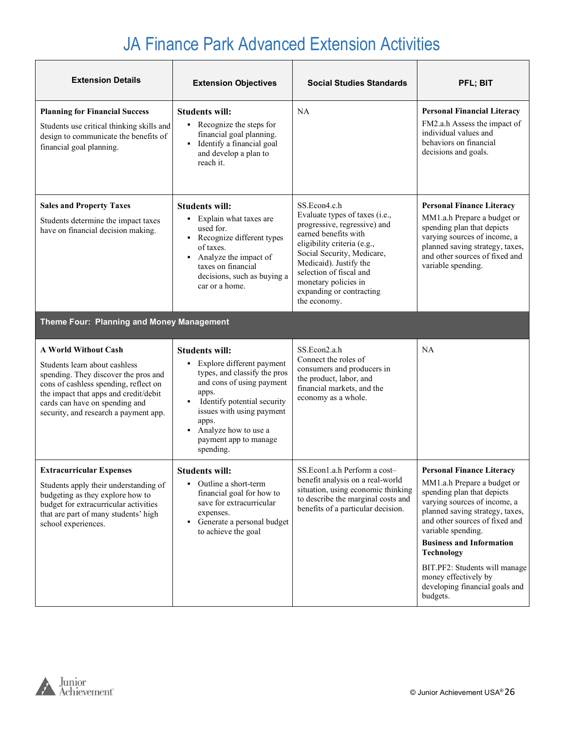| <b>Extension Details</b>                                                                                                                                                                                                                                          | <b>Extension Objectives</b>                                                                                                                                                                                                                                            | <b>Social Studies Standards</b>                                                                                                                                                                                                                                                              | PFL; BIT                                                                                                                                                                                                                                                                  |
|-------------------------------------------------------------------------------------------------------------------------------------------------------------------------------------------------------------------------------------------------------------------|------------------------------------------------------------------------------------------------------------------------------------------------------------------------------------------------------------------------------------------------------------------------|----------------------------------------------------------------------------------------------------------------------------------------------------------------------------------------------------------------------------------------------------------------------------------------------|---------------------------------------------------------------------------------------------------------------------------------------------------------------------------------------------------------------------------------------------------------------------------|
| <b>Planning for Financial Success</b><br>Students use critical thinking skills and<br>design to communicate the benefits of<br>financial goal planning.                                                                                                           | <b>Students will:</b><br>• Recognize the steps for<br>financial goal planning.<br>• Identify a financial goal<br>and develop a plan to<br>reach it.                                                                                                                    | NA                                                                                                                                                                                                                                                                                           | <b>Personal Financial Literacy</b><br>FM2.a.h Assess the impact of<br>individual values and<br>behaviors on financial<br>decisions and goals.                                                                                                                             |
| <b>Sales and Property Taxes</b><br>Students determine the impact taxes<br>have on financial decision making.                                                                                                                                                      | <b>Students will:</b><br>• Explain what taxes are<br>used for.<br>• Recognize different types<br>of taxes.<br>Analyze the impact of<br>٠<br>taxes on financial<br>decisions, such as buying a<br>car or a home.                                                        | SS.Econ4.c.h<br>Evaluate types of taxes (i.e.,<br>progressive, regressive) and<br>earned benefits with<br>eligibility criteria (e.g.,<br>Social Security, Medicare,<br>Medicaid). Justify the<br>selection of fiscal and<br>monetary policies in<br>expanding or contracting<br>the economy. | <b>Personal Finance Literacy</b><br>MM1.a.h Prepare a budget or<br>spending plan that depicts<br>varying sources of income, a<br>planned saving strategy, taxes,<br>and other sources of fixed and<br>variable spending.                                                  |
| Theme Four: Planning and Money Management                                                                                                                                                                                                                         |                                                                                                                                                                                                                                                                        |                                                                                                                                                                                                                                                                                              |                                                                                                                                                                                                                                                                           |
| <b>A World Without Cash</b><br>Students learn about cashless<br>spending. They discover the pros and<br>cons of cashless spending, reflect on<br>the impact that apps and credit/debit<br>cards can have on spending and<br>security, and research a payment app. | <b>Students will:</b><br>Explore different payment<br>٠<br>types, and classify the pros<br>and cons of using payment<br>apps.<br>Identify potential security<br>issues with using payment<br>apps.<br>Analyze how to use a<br>٠.<br>payment app to manage<br>spending. | SS.Econ2.a.h<br>Connect the roles of<br>consumers and producers in<br>the product, labor, and<br>financial markets, and the<br>economy as a whole.                                                                                                                                           | NA                                                                                                                                                                                                                                                                        |
| <b>Extracurricular Expenses</b><br>Students apply their understanding of<br>budgeting as they explore how to<br>budget for extracurricular activities<br>that are part of many students' high<br>school experiences.                                              | <b>Students will:</b><br>Outline a short-term<br>٠<br>financial goal for how to<br>save for extracurricular<br>expenses.<br>Generate a personal budget<br>٠<br>to achieve the goal                                                                                     | SS.Econ1.a.h Perform a cost-<br>benefit analysis on a real-world<br>situation, using economic thinking<br>to describe the marginal costs and<br>benefits of a particular decision.                                                                                                           | <b>Personal Finance Literacy</b><br>MM1.a.h Prepare a budget or<br>spending plan that depicts<br>varying sources of income, a<br>planned saving strategy, taxes,<br>and other sources of fixed and<br>variable spending.<br><b>Business and Information</b><br>Technology |

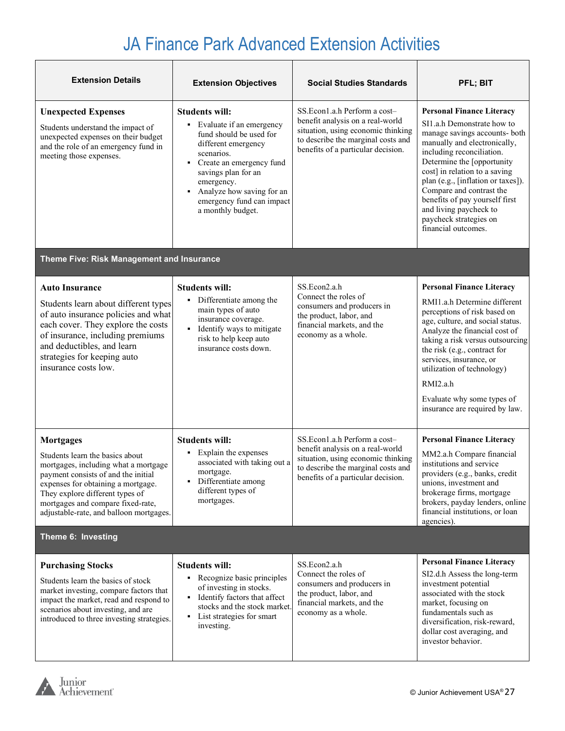| <b>Extension Details</b>                                                                                                                                                                                                                                                                    | <b>Extension Objectives</b>                                                                                                                                                                                                                                           | <b>Social Studies Standards</b>                                                                                                                                                    | PFL; BIT                                                                                                                                                                                                                                                                                                                                                                                                   |  |
|---------------------------------------------------------------------------------------------------------------------------------------------------------------------------------------------------------------------------------------------------------------------------------------------|-----------------------------------------------------------------------------------------------------------------------------------------------------------------------------------------------------------------------------------------------------------------------|------------------------------------------------------------------------------------------------------------------------------------------------------------------------------------|------------------------------------------------------------------------------------------------------------------------------------------------------------------------------------------------------------------------------------------------------------------------------------------------------------------------------------------------------------------------------------------------------------|--|
| <b>Unexpected Expenses</b><br>Students understand the impact of<br>unexpected expenses on their budget<br>and the role of an emergency fund in<br>meeting those expenses.                                                                                                                   | <b>Students will:</b><br>• Evaluate if an emergency<br>fund should be used for<br>different emergency<br>scenarios.<br>• Create an emergency fund<br>savings plan for an<br>emergency.<br>Analyze how saving for an<br>emergency fund can impact<br>a monthly budget. | SS.Econ1.a.h Perform a cost-<br>benefit analysis on a real-world<br>situation, using economic thinking<br>to describe the marginal costs and<br>benefits of a particular decision. | <b>Personal Finance Literacy</b><br>SI1.a.h Demonstrate how to<br>manage savings accounts- both<br>manually and electronically,<br>including reconciliation.<br>Determine the [opportunity<br>cost] in relation to a saving<br>plan (e.g., [inflation or taxes]).<br>Compare and contrast the<br>benefits of pay yourself first<br>and living paycheck to<br>paycheck strategies on<br>financial outcomes. |  |
| Theme Five: Risk Management and Insurance                                                                                                                                                                                                                                                   |                                                                                                                                                                                                                                                                       |                                                                                                                                                                                    |                                                                                                                                                                                                                                                                                                                                                                                                            |  |
| <b>Auto Insurance</b><br>Students learn about different types<br>of auto insurance policies and what<br>each cover. They explore the costs<br>of insurance, including premiums<br>and deductibles, and learn<br>strategies for keeping auto<br>insurance costs low.                         | <b>Students will:</b><br>Differentiate among the<br>٠<br>main types of auto<br>insurance coverage.<br>• Identify ways to mitigate<br>risk to help keep auto<br>insurance costs down.                                                                                  | SS.Econ2.a.h<br>Connect the roles of<br>consumers and producers in<br>the product, labor, and<br>financial markets, and the<br>economy as a whole.                                 | <b>Personal Finance Literacy</b><br>RMI1.a.h Determine different<br>perceptions of risk based on<br>age, culture, and social status.<br>Analyze the financial cost of<br>taking a risk versus outsourcing<br>the risk (e.g., contract for<br>services, insurance, or<br>utilization of technology)<br>RMI2.a.h<br>Evaluate why some types of<br>insurance are required by law.                             |  |
| <b>Mortgages</b><br>Students learn the basics about<br>mortgages, including what a mortgage<br>payment consists of and the initial<br>expenses for obtaining a mortgage.<br>They explore different types of<br>mortgages and compare fixed-rate,<br>adjustable-rate, and balloon mortgages. | <b>Students will:</b><br>Explain the expenses<br>٠<br>associated with taking out a<br>mortgage.<br>Differentiate among<br>٠<br>different types of<br>mortgages.                                                                                                       | SS.Econ1.a.h Perform a cost-<br>benefit analysis on a real-world<br>situation, using economic thinking<br>to describe the marginal costs and<br>benefits of a particular decision. | <b>Personal Finance Literacy</b><br>MM2.a.h Compare financial<br>institutions and service<br>providers (e.g., banks, credit<br>unions, investment and<br>brokerage firms, mortgage<br>brokers, payday lenders, online<br>financial institutions, or loan<br>agencies).                                                                                                                                     |  |
| Theme 6: Investing                                                                                                                                                                                                                                                                          |                                                                                                                                                                                                                                                                       |                                                                                                                                                                                    |                                                                                                                                                                                                                                                                                                                                                                                                            |  |
| <b>Purchasing Stocks</b><br>Students learn the basics of stock<br>market investing, compare factors that<br>impact the market, read and respond to<br>scenarios about investing, and are<br>introduced to three investing strategies.                                                       | <b>Students will:</b><br>• Recognize basic principles<br>of investing in stocks.<br>Identify factors that affect<br>٠<br>stocks and the stock market.<br>• List strategies for smart<br>investing.                                                                    | SS.Econ2.a.h<br>Connect the roles of<br>consumers and producers in<br>the product, labor, and<br>financial markets, and the<br>economy as a whole.                                 | <b>Personal Finance Literacy</b><br>SI2.d.h Assess the long-term<br>investment potential<br>associated with the stock<br>market, focusing on<br>fundamentals such as<br>diversification, risk-reward,<br>dollar cost averaging, and<br>investor behavior.                                                                                                                                                  |  |